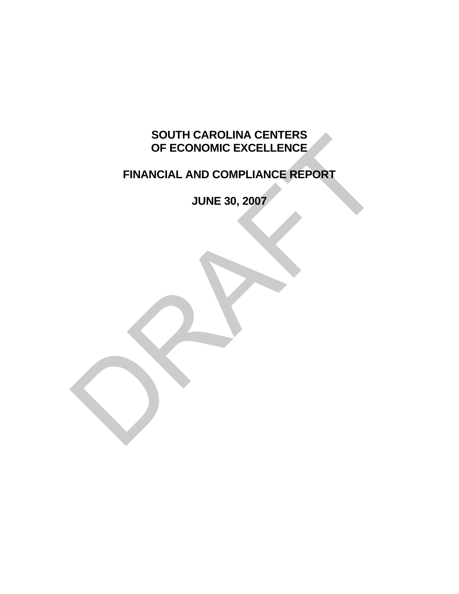# **SOUTH CAROLINA CENTERS OF ECONOMIC EXCELLENCE**  SOUTH CAROLINA CENTERS<br>OF ECONOMIC EXCELLENCE<br>FINANCIAL AND COMPLIANCE REPORT<br>JUNE 30, 2007

#### **FINANCIAL AND COMPLIANCE REPORT**

**JUNE 30, 2007**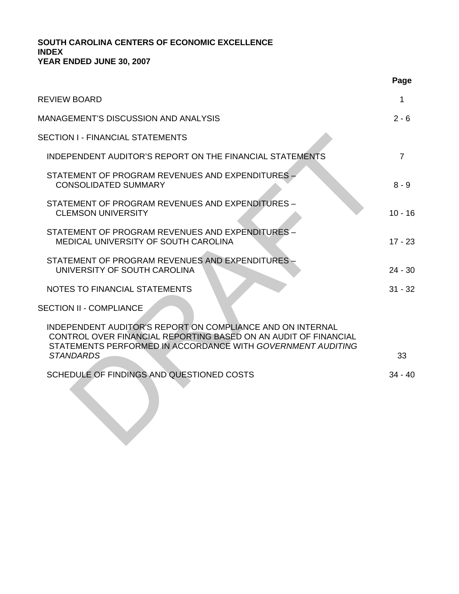#### **SOUTH CAROLINA CENTERS OF ECONOMIC EXCELLENCE INDEX YEAR ENDED JUNE 30, 2007**

|                                                                                                                                                                                                                  | Page           |
|------------------------------------------------------------------------------------------------------------------------------------------------------------------------------------------------------------------|----------------|
| <b>REVIEW BOARD</b>                                                                                                                                                                                              | 1              |
| <b>MANAGEMENT'S DISCUSSION AND ANALYSIS</b>                                                                                                                                                                      | $2 - 6$        |
| <b>SECTION I - FINANCIAL STATEMENTS</b>                                                                                                                                                                          |                |
| <b>INDEPENDENT AUDITOR'S REPORT ON THE FINANCIAL STATEMENTS</b>                                                                                                                                                  | $\overline{7}$ |
| STATEMENT OF PROGRAM REVENUES AND EXPENDITURES.<br><b>CONSOLIDATED SUMMARY</b>                                                                                                                                   | $8 - 9$        |
| STATEMENT OF PROGRAM REVENUES AND EXPENDITURES -<br><b>CLEMSON UNIVERSITY</b>                                                                                                                                    | $10 - 16$      |
| STATEMENT OF PROGRAM REVENUES AND EXPENDITURES -<br>MEDICAL UNIVERSITY OF SOUTH CAROLINA                                                                                                                         | $17 - 23$      |
| STATEMENT OF PROGRAM REVENUES AND EXPENDITURES -<br>UNIVERSITY OF SOUTH CAROLINA                                                                                                                                 | $24 - 30$      |
| NOTES TO FINANCIAL STATEMENTS                                                                                                                                                                                    | $31 - 32$      |
| <b>SECTION II - COMPLIANCE</b>                                                                                                                                                                                   |                |
| INDEPENDENT AUDITOR'S REPORT ON COMPLIANCE AND ON INTERNAL<br>CONTROL OVER FINANCIAL REPORTING BASED ON AN AUDIT OF FINANCIAL<br>STATEMENTS PERFORMED IN ACCORDANCE WITH GOVERNMENT AUDITING<br><b>STANDARDS</b> | 33             |
| SCHEDULE OF FINDINGS AND QUESTIONED COSTS                                                                                                                                                                        | $34 - 40$      |
|                                                                                                                                                                                                                  |                |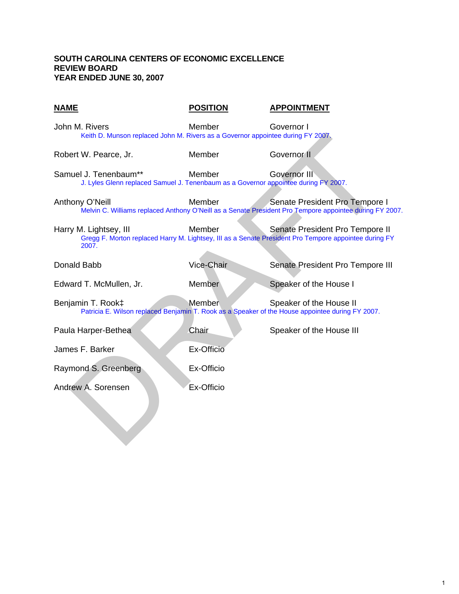#### **SOUTH CAROLINA CENTERS OF ECONOMIC EXCELLENCE REVIEW BOARD YEAR ENDED JUNE 30, 2007**

| <b>NAME</b>                                                                                                  | <b>POSITION</b> | <b>APPOINTMENT</b>                                                                                                                        |
|--------------------------------------------------------------------------------------------------------------|-----------------|-------------------------------------------------------------------------------------------------------------------------------------------|
| John M. Rivers<br>Keith D. Munson replaced John M. Rivers as a Governor appointee during FY 2007.            | Member          | Governor I                                                                                                                                |
| Robert W. Pearce, Jr.                                                                                        | Member          | Governor II                                                                                                                               |
| Samuel J. Tenenbaum**<br>J. Lyles Glenn replaced Samuel J. Tenenbaum as a Governor appointee during FY 2007. | Member          | Governor III                                                                                                                              |
| Anthony O'Neill                                                                                              | Member          | Senate President Pro Tempore I<br>Melvin C. Williams replaced Anthony O'Neill as a Senate President Pro Tempore appointee during FY 2007. |
| Harry M. Lightsey, III<br>2007.                                                                              | Member          | Senate President Pro Tempore II<br>Gregg F. Morton replaced Harry M. Lightsey, III as a Senate President Pro Tempore appointee during FY  |
| Donald Babb                                                                                                  | Vice-Chair      | Senate President Pro Tempore III                                                                                                          |
| Edward T. McMullen, Jr.                                                                                      | <b>Member</b>   | Speaker of the House I                                                                                                                    |
| Benjamin T. Rook‡                                                                                            | Member          | Speaker of the House II<br>Patricia E. Wilson replaced Benjamin T. Rook as a Speaker of the House appointee during FY 2007.               |
| Paula Harper-Bethea                                                                                          | Chair           | Speaker of the House III                                                                                                                  |
| James F. Barker                                                                                              | Ex-Officio      |                                                                                                                                           |
| Raymond S. Greenberg                                                                                         | Ex-Officio      |                                                                                                                                           |
| Andrew A. Sorensen                                                                                           | Ex-Officio      |                                                                                                                                           |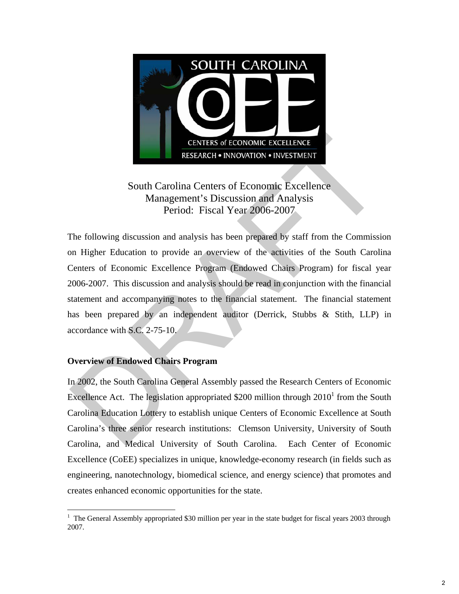

South Carolina Centers of Economic Excellence Management's Discussion and Analysis Period: Fiscal Year 2006-2007

The following discussion and analysis has been prepared by staff from the Commission on Higher Education to provide an overview of the activities of the South Carolina Centers of Economic Excellence Program (Endowed Chairs Program) for fiscal year 2006-2007. This discussion and analysis should be read in conjunction with the financial statement and accompanying notes to the financial statement. The financial statement has been prepared by an independent auditor (Derrick, Stubbs & Stith, LLP) in accordance with S.C. 2-75-10. **ENTERS of ECONOMIC EXCELLENCE**<br> **ENTERS of ECONOMIC EXCELLENCE**<br> **ENTERS OF ECONOMIC EXCELLENCE**<br> **ENTERN STANDATION - INVESTMENT**<br>
South Carolina Centers of Economic Excellence<br>
Management's Discussion and analysis has b

#### **Overview of Endowed Chairs Program**

 $\overline{a}$ 

In 2002, the South Carolina General Assembly passed the Research Centers of Economic Excellence Act. The legislation appropriated \$200 million through  $2010<sup>1</sup>$  from the South Carolina Education Lottery to establish unique Centers of Economic Excellence at South Carolina's three senior research institutions: Clemson University, University of South Carolina, and Medical University of South Carolina. Each Center of Economic Excellence (CoEE) specializes in unique, knowledge-economy research (in fields such as engineering, nanotechnology, biomedical science, and energy science) that promotes and creates enhanced economic opportunities for the state.

<sup>&</sup>lt;sup>1</sup> The General Assembly appropriated \$30 million per year in the state budget for fiscal years 2003 through 2007.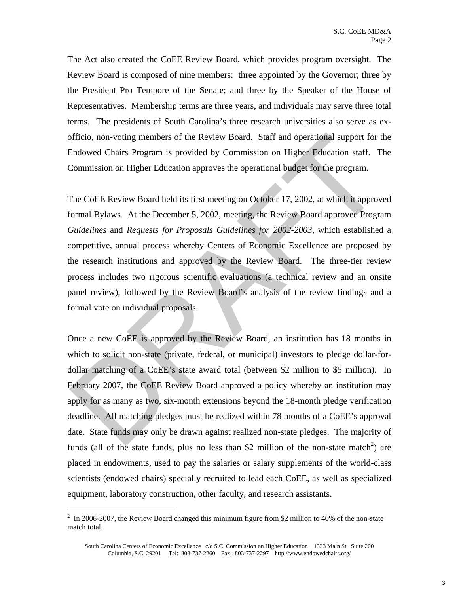The Act also created the CoEE Review Board, which provides program oversight. The Review Board is composed of nine members: three appointed by the Governor; three by the President Pro Tempore of the Senate; and three by the Speaker of the House of Representatives. Membership terms are three years, and individuals may serve three total terms. The presidents of South Carolina's three research universities also serve as exofficio, non-voting members of the Review Board. Staff and operational support for the Endowed Chairs Program is provided by Commission on Higher Education staff. The Commission on Higher Education approves the operational budget for the program.

The CoEE Review Board held its first meeting on October 17, 2002, at which it approved formal Bylaws. At the December 5, 2002, meeting, the Review Board approved Program *Guidelines* and *Requests for Proposals Guidelines for 2002-2003*, which established a competitive, annual process whereby Centers of Economic Excellence are proposed by the research institutions and approved by the Review Board. The three-tier review process includes two rigorous scientific evaluations (a technical review and an onsite panel review), followed by the Review Board's analysis of the review findings and a formal vote on individual proposals. officio, non-voting members of the Review Board. Staff and operational support for the<br>andowed Chairs Program is provided by Commission on Higher Education staff. T<br>Commission on Higher Education approves the operational b

Once a new CoEE is approved by the Review Board, an institution has 18 months in which to solicit non-state (private, federal, or municipal) investors to pledge dollar-fordollar matching of a CoEE's state award total (between \$2 million to \$5 million). In February 2007, the CoEE Review Board approved a policy whereby an institution may apply for as many as two, six-month extensions beyond the 18-month pledge verification deadline. All matching pledges must be realized within 78 months of a CoEE's approval date. State funds may only be drawn against realized non-state pledges. The majority of funds (all of the state funds, plus no less than \$2 million of the non-state match<sup>2</sup>) are placed in endowments, used to pay the salaries or salary supplements of the world-class scientists (endowed chairs) specially recruited to lead each CoEE, as well as specialized equipment, laboratory construction, other faculty, and research assistants.

1

 $2 \text{ In } 2006\text{-}2007$ , the Review Board changed this minimum figure from \$2 million to 40% of the non-state match total.

South Carolina Centers of Economic Excellence c/o S.C. Commission on Higher Education 1333 Main St. Suite 200 Columbia, S.C. 29201 Tel: 803-737-2260 Fax: 803-737-2297 http://www.endowedchairs.org/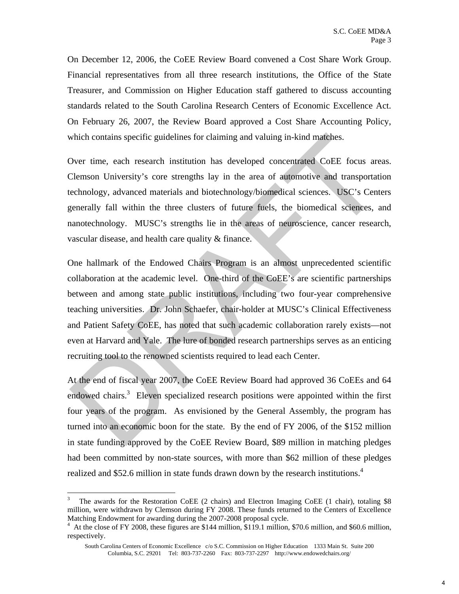On December 12, 2006, the CoEE Review Board convened a Cost Share Work Group. Financial representatives from all three research institutions, the Office of the State Treasurer, and Commission on Higher Education staff gathered to discuss accounting standards related to the South Carolina Research Centers of Economic Excellence Act. On February 26, 2007, the Review Board approved a Cost Share Accounting Policy, which contains specific guidelines for claiming and valuing in-kind matches.

Over time, each research institution has developed concentrated CoEE focus areas. Clemson University's core strengths lay in the area of automotive and transportation technology, advanced materials and biotechnology/biomedical sciences. USC's Centers generally fall within the three clusters of future fuels, the biomedical sciences, and nanotechnology. MUSC's strengths lie in the areas of neuroscience, cancer research, vascular disease, and health care quality & finance.

One hallmark of the Endowed Chairs Program is an almost unprecedented scientific collaboration at the academic level. One-third of the CoEE's are scientific partnerships between and among state public institutions, including two four-year comprehensive teaching universities. Dr. John Schaefer, chair-holder at MUSC's Clinical Effectiveness and Patient Safety CoEE, has noted that such academic collaboration rarely exists—not even at Harvard and Yale. The lure of bonded research partnerships serves as an enticing recruiting tool to the renowned scientists required to lead each Center. which contains specific guidelines for claiming and valuing in-kind matches.<br>
Dver time, each research institution has developed concentrated CoEE focus are:<br>
Clemson University's core strengths lay in the area of automoti

At the end of fiscal year 2007, the CoEE Review Board had approved 36 CoEEs and 64 endowed chairs.<sup>3</sup> Eleven specialized research positions were appointed within the first four years of the program. As envisioned by the General Assembly, the program has turned into an economic boon for the state. By the end of FY 2006, of the \$152 million in state funding approved by the CoEE Review Board, \$89 million in matching pledges had been committed by non-state sources, with more than \$62 million of these pledges realized and \$52.6 million in state funds drawn down by the research institutions.<sup>4</sup>

 $\overline{a}$ 

<sup>3</sup> The awards for the Restoration CoEE (2 chairs) and Electron Imaging CoEE (1 chair), totaling \$8 million, were withdrawn by Clemson during FY 2008. These funds returned to the Centers of Excellence Matching Endowment for awarding during the 2007-2008 proposal cycle.

<sup>&</sup>lt;sup>4</sup> At the close of FY 2008, these figures are \$144 million, \$119.1 million, \$70.6 million, and \$60.6 million, respectively.

South Carolina Centers of Economic Excellence c/o S.C. Commission on Higher Education 1333 Main St. Suite 200 Columbia, S.C. 29201 Tel: 803-737-2260 Fax: 803-737-2297 http://www.endowedchairs.org/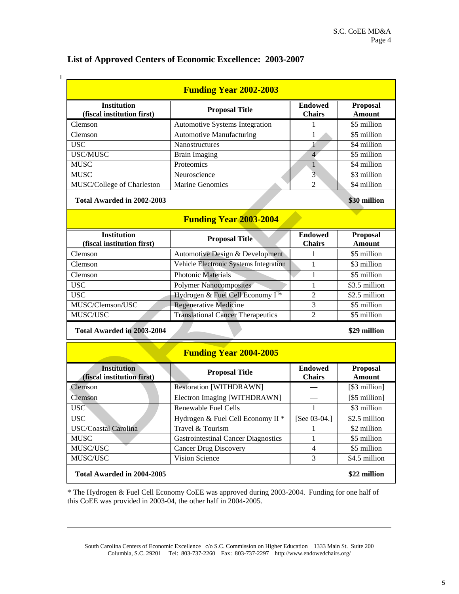|                                                  | <b>Funding Year 2002-2003</b>              |                                 |                                  |
|--------------------------------------------------|--------------------------------------------|---------------------------------|----------------------------------|
| <b>Institution</b><br>(fiscal institution first) | <b>Proposal Title</b>                      | <b>Endowed</b><br><b>Chairs</b> | <b>Proposal</b><br><b>Amount</b> |
| Clemson                                          | <b>Automotive Systems Integration</b>      | 1                               | \$5 million                      |
| Clemson                                          | <b>Automotive Manufacturing</b>            | 1                               | \$5 million                      |
| <b>USC</b>                                       | Nanostructures                             | $1\,$                           | \$4 million                      |
| USC/MUSC                                         | <b>Brain Imaging</b>                       | $\overline{4}$                  | \$5 million                      |
| <b>MUSC</b>                                      | Proteomics                                 | $\mathbf{1}$                    | \$4 million                      |
| <b>MUSC</b>                                      | Neuroscience                               | $\overline{3}$                  | \$3 million                      |
| MUSC/College of Charleston                       | <b>Marine Genomics</b>                     | $\overline{2}$                  | \$4 million                      |
| Total Awarded in 2002-2003                       |                                            |                                 | \$30 million                     |
|                                                  | <b>Funding Year 2003-2004</b>              |                                 |                                  |
| <b>Institution</b><br>(fiscal institution first) | <b>Proposal Title</b>                      | <b>Endowed</b><br><b>Chairs</b> | <b>Proposal</b><br><b>Amount</b> |
| Clemson                                          | Automotive Design & Development            | 1                               | \$5 million                      |
| Clemson                                          | Vehicle Electronic Systems Integration     | 1                               | \$3 million                      |
| Clemson                                          | <b>Photonic Materials</b>                  | 1                               | \$5 million                      |
| <b>USC</b>                                       | <b>Polymer Nanocomposites</b>              | 1                               | $$3.\overline{5}$ million        |
| <b>USC</b>                                       | Hydrogen & Fuel Cell Economy I*            | $\overline{c}$                  | \$2.5 million                    |
| MUSC/Clemson/USC                                 | <b>Regenerative Medicine</b>               | 3                               | \$5 million                      |
| MUSC/USC                                         | <b>Translational Cancer Therapeutics</b>   | $\overline{2}$                  | \$5 million                      |
| Total Awarded in 2003-2004                       |                                            |                                 | \$29 million                     |
|                                                  | <b>Funding Year 2004-2005</b>              |                                 |                                  |
| <b>Institution</b><br>(fiscal institution first) | <b>Proposal Title</b>                      | <b>Endowed</b><br><b>Chairs</b> | <b>Proposal</b><br><b>Amount</b> |
| Clemson                                          | <b>Restoration [WITHDRAWN]</b>             |                                 | [\$3 million]                    |
| Clemson                                          | Electron Imaging [WITHDRAWN]               |                                 | [\$5 million]                    |
| <b>USC</b>                                       | <b>Renewable Fuel Cells</b>                | 1                               | \$3 million                      |
| <b>USC</b>                                       | Hydrogen & Fuel Cell Economy II *          | [See 03-04.]                    | \$2.5 million                    |
| USC/Coastal Carolina                             | Travel & Tourism                           | 1                               | \$2 million                      |
| <b>MUSC</b>                                      | <b>Gastrointestinal Cancer Diagnostics</b> | $\mathbf{1}$                    | \$5 million                      |
| MUSC/USC                                         | <b>Cancer Drug Discovery</b>               | 4                               | \$5 million                      |
| MUSC/USC                                         | Vision Science                             | 3                               | \$4.5 million                    |
| Total Awarded in 2004-2005                       |                                            |                                 | \$22 million                     |

#### **List of Approved Centers of Economic Excellence: 2003-2007**

\* The Hydrogen & Fuel Cell Economy CoEE was approved during 2003-2004. Funding for one half of this CoEE was provided in 2003-04, the other half in 2004-2005.

 $\overline{a}$ 

 $\mathbf{l}$ 

South Carolina Centers of Economic Excellence c/o S.C. Commission on Higher Education 1333 Main St. Suite 200 Columbia, S.C. 29201 Tel: 803-737-2260 Fax: 803-737-2297 http://www.endowedchairs.org/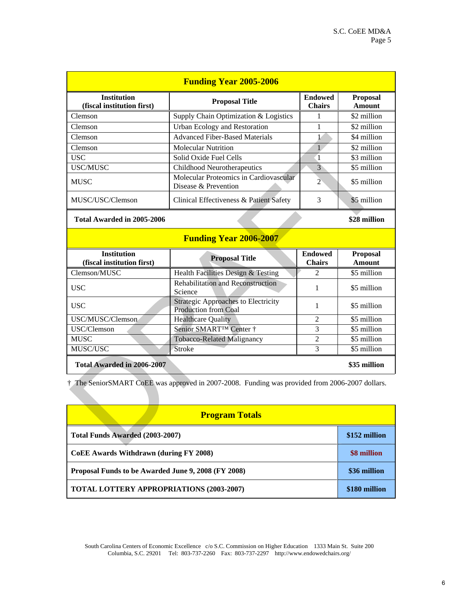|                                                  | <b>Funding Year 2005-2006</b>                                                                  |                                 |                                  |
|--------------------------------------------------|------------------------------------------------------------------------------------------------|---------------------------------|----------------------------------|
| <b>Institution</b><br>(fiscal institution first) | <b>Proposal Title</b>                                                                          | <b>Endowed</b><br><b>Chairs</b> | Proposal<br><b>Amount</b>        |
| Clemson                                          | Supply Chain Optimization & Logistics                                                          | 1                               | \$2 million                      |
| Clemson                                          | <b>Urban Ecology and Restoration</b>                                                           | $\mathbf{1}$                    | \$2 million                      |
| Clemson                                          | <b>Advanced Fiber-Based Materials</b>                                                          | 1                               | \$4 million                      |
| Clemson                                          | <b>Molecular Nutrition</b>                                                                     | 1                               | \$2 million                      |
| <b>USC</b>                                       | Solid Oxide Fuel Cells                                                                         | $\overline{1}$                  | \$3 million                      |
| <b>USC/MUSC</b>                                  | Childhood Neurotherapeutics                                                                    | $\overline{3}$                  | \$5 million                      |
| MUSC                                             | Molecular Proteomics in Cardiovascular<br>Disease & Prevention                                 | $\overline{2}$                  | \$5 million                      |
| MUSC/USC/Clemson                                 | Clinical Effectiveness & Patient Safety                                                        | 3                               | \$5 million                      |
| Total Awarded in 2005-2006                       |                                                                                                |                                 | \$28 million                     |
|                                                  | <b>Funding Year 2006-2007</b>                                                                  |                                 |                                  |
| <b>Institution</b><br>(fiscal institution first) | <b>Proposal Title</b>                                                                          | <b>Endowed</b><br><b>Chairs</b> | <b>Proposal</b><br><b>Amount</b> |
| Clemson/MUSC                                     | Health Facilities Design & Testing                                                             | 2                               | \$5 million                      |
| <b>USC</b>                                       | Rehabilitation and Reconstruction<br>Science                                                   | 1                               | \$5 million                      |
| USC                                              | <b>Strategic Approaches to Electricity</b><br><b>Production from Coal</b>                      | 1                               | \$5 million                      |
| USC/MUSC/Clemson                                 | <b>Healthcare Quality</b>                                                                      | $\overline{2}$                  | \$5 million                      |
| USC/Clemson                                      | Senior SMART™ Center †                                                                         | 3                               | \$5 million                      |
| <b>MUSC</b>                                      | <b>Tobacco-Related Malignancy</b>                                                              | $\overline{2}$                  | \$5 million                      |
| MUSC/USC                                         | Stroke                                                                                         | 3                               | \$5 million                      |
| <b>Total Awarded in 2006-2007</b>                |                                                                                                |                                 | \$35 million                     |
|                                                  | † The SeniorSMART CoEE was approved in 2007-2008. Funding was provided from 2006-2007 dollars. |                                 |                                  |
|                                                  | <b>Program Totals</b>                                                                          |                                 |                                  |
| Total Funds Awarded (2003-2007)                  |                                                                                                |                                 | \$152 million                    |

| Institution<br>(fiscal institution first) | <b>Proposal Title</b>                                                     | Endowed<br><b>Chairs</b> | <b>Proposal</b><br>Amount |
|-------------------------------------------|---------------------------------------------------------------------------|--------------------------|---------------------------|
| Clemson/MUSC                              | Health Facilities Design & Testing                                        | 2                        | \$5 million               |
| USC                                       | Rehabilitation and Reconstruction<br>Science                              |                          | \$5 million               |
| <b>USC</b>                                | <b>Strategic Approaches to Electricity</b><br><b>Production from Coal</b> |                          | \$5 million               |
| USC/MUSC/Clemson                          | <b>Healthcare Quality</b>                                                 | $\mathfrak{D}$           | \$5 million               |
| USC/Clemson                               | Senior SMART™ Center †                                                    | 3                        | \$5 million               |
| <b>MUSC</b>                               | <b>Tobacco-Related Malignancy</b>                                         | 2                        | \$5 million               |
| MUSC/USC                                  | <b>Stroke</b>                                                             | 3                        | \$5 million               |
| Total Awarded in 2006-2007                |                                                                           |                          | \$35 million              |

| <b>Program Totals</b>                               |               |
|-----------------------------------------------------|---------------|
|                                                     |               |
| Total Funds Awarded (2003-2007)                     | \$152 million |
| CoEE Awards Withdrawn (during FY 2008)              | \$8 million   |
| Proposal Funds to be Awarded June 9, 2008 (FY 2008) | \$36 million  |
| <b>TOTAL LOTTERY APPROPRIATIONS (2003-2007)</b>     | \$180 million |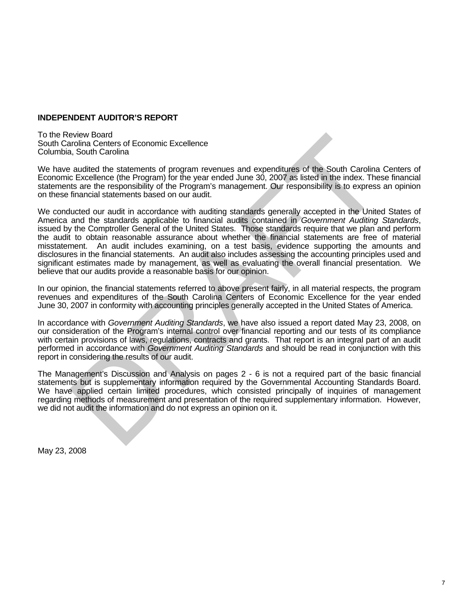#### **INDEPENDENT AUDITOR'S REPORT**

To the Review Board South Carolina Centers of Economic Excellence Columbia, South Carolina

We have audited the statements of program revenues and expenditures of the South Carolina Centers of Economic Excellence (the Program) for the year ended June 30, 2007 as listed in the index. These financial statements are the responsibility of the Program's management. Our responsibility is to express an opinion on these financial statements based on our audit.

We conducted our audit in accordance with auditing standards generally accepted in the United States of America and the standards applicable to financial audits contained in *Government Auditing Standards*, issued by the Comptroller General of the United States. Those standards require that we plan and perform the audit to obtain reasonable assurance about whether the financial statements are free of material misstatement. An audit includes examining, on a test basis, evidence supporting the amounts and disclosures in the financial statements. An audit also includes assessing the accounting principles used and significant estimates made by management, as well as evaluating the overall financial presentation. We believe that our audits provide a reasonable basis for our opinion. eview Board<br>collar carters of Economic Excellence<br>and experiments of program revenues and expenditures of the South Carolina<br>and and carters of Economic Excellence<br>e. Excellence (the Program) for the year ended June 30, 20

In our opinion, the financial statements referred to above present fairly, in all material respects, the program revenues and expenditures of the South Carolina Centers of Economic Excellence for the year ended June 30, 2007 in conformity with accounting principles generally accepted in the United States of America.

In accordance with *Government Auditing Standards*, we have also issued a report dated May 23, 2008, on our consideration of the Program's internal control over financial reporting and our tests of its compliance with certain provisions of laws, regulations, contracts and grants. That report is an integral part of an audit performed in accordance with *Government Auditing Standards* and should be read in conjunction with this report in considering the results of our audit.

The Management's Discussion and Analysis on pages 2 - 6 is not a required part of the basic financial statements but is supplementary information required by the Governmental Accounting Standards Board. We have applied certain limited procedures, which consisted principally of inquiries of management regarding methods of measurement and presentation of the required supplementary information. However, we did not audit the information and do not express an opinion on it.

May 23, 2008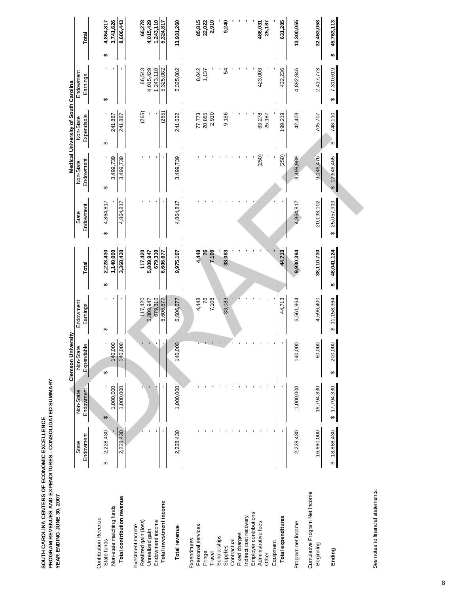SOUTH CAROLINA CENTERS OF ECONOMIC EXCELLENCE<br>PROGRAM REVENUES AND EXPENDITURES - CONSOLIDATED SUMMARY<br>YEAR ENDING JUNE 30, 2007 **PROGRAM REVENUES AND EXPENDITURES - CONSOLIDATED SUMMARY SOUTH CAROLINA CENTERS OF ECONOMIC EXCELLENCE YEAR ENDING JUNE 30, 2007**

|                                                                                  |                    |                        | <b>Clemson University</b> |                       |                                 |                                     |                        | Medical University of South Carolina |                                  |                                  |
|----------------------------------------------------------------------------------|--------------------|------------------------|---------------------------|-----------------------|---------------------------------|-------------------------------------|------------------------|--------------------------------------|----------------------------------|----------------------------------|
|                                                                                  | Endowment<br>State | Endowment<br>Non-State | Expendable<br>Non-State   | Endowment<br>Earnings | Total                           | Endowment<br>State                  | Endowment<br>Non-State | Expendable<br>Non-State              | Endowment<br>Earnings            | Total                            |
| <b>Contribution Revenue</b>                                                      |                    |                        |                           |                       |                                 |                                     |                        |                                      |                                  |                                  |
| State funds                                                                      | 2,228,430<br>↮     | ↮                      | ı<br>↮                    | ↔                     | 2,228,430<br>↮                  | 4,864,817<br>↮                      | ↮                      | ↮                                    | ↔                                | 4,864,817<br>↮                   |
| Non-state matching funds                                                         |                    | 1,000,000              | 140,000                   |                       | 1,140,000                       |                                     | 3,499,739              | 241,887                              |                                  | 3,741,626                        |
| Total contribution revenue                                                       | 2,228,430          | 1,000,000              | 140,000                   |                       | 3,368,430                       | 4,864,817                           | 3,499,739              | 241,887                              |                                  | 8,606,443                        |
| Endowment income<br>Realized gain (loss)<br>Investment Income<br>Unrealized gain |                    |                        |                           | 117,420<br>5,809,947  | 117,420<br>679,310<br>5,809,947 |                                     |                        | (265)                                | 4,015,429<br>66,543<br>1,243,110 | 66,278<br>4,015,429<br>1,243,110 |
| Total investment income                                                          |                    |                        |                           | 679,310<br>6,606,677  | 6,606,677                       |                                     |                        | (265)                                | 5,325,082                        | 5,324,817                        |
| <b>Total revenue</b>                                                             | 2,228,430          | 1,000,000              | 800<br>140,               | 6,606,677             | 9,975,107                       | 4,864,817                           | 3,499,739              | 241,622                              | 5,325,082                        | 13,931,260                       |
| Expenditures                                                                     |                    |                        |                           |                       |                                 |                                     |                        |                                      |                                  |                                  |
| Personal services<br>Fringe                                                      |                    |                        |                           | 4,448<br>76           | 4,448                           |                                     |                        | 77,773<br>20,885<br>2,910            | 8,042<br>1,137                   | 85,815<br>22,022                 |
| Scholarships<br>Travel                                                           |                    |                        |                           | 7,106                 | 7,106                           |                                     |                        |                                      |                                  | 2,910                            |
| Supplies                                                                         |                    |                        |                           | 33,083                | 33,083                          |                                     |                        | 9,186                                | 54                               | 9,240                            |
| Fixed charges<br>Contractual                                                     |                    |                        |                           |                       |                                 |                                     |                        |                                      |                                  |                                  |
| Employer contributions<br>ndirect cost recovery                                  |                    |                        |                           |                       |                                 |                                     |                        |                                      |                                  |                                  |
| Administrative fees                                                              |                    |                        |                           |                       |                                 |                                     | (250)                  | 63,278                               | 423,003                          | 486,031                          |
| Equipment<br>Other                                                               |                    |                        |                           |                       |                                 |                                     |                        | 25,187                               |                                  | 25,187                           |
| Total expenditures                                                               |                    |                        |                           | 44,713                | 44,713                          |                                     | (250)                  | 199,219                              | 432,236                          | 631,205                          |
| Program net income                                                               | 2,228,430          | 1,000,000              | 140,000                   | 6,561,964             | 9,930,394                       | 4,864,817                           | 3,499,989              | 42,403                               | 4,892,846                        | 13,300,055                       |
| Cumulative Program Net Income<br>Beginning                                       | 16,660,000         | 16,794,330             | 60,000                    | 4,596,400             | 38,110,730                      | 20,193,102                          | 9,146,476              | 705,707                              | 2,417,773                        | 32,463,058                       |
| Ending                                                                           | 18,888,430<br>∥∾   | 17,794,330<br>↔        | 200,000<br>↮              | \$11,158,364          | 48,041,124<br>$\bullet$         | 25,057,919<br>$\boldsymbol{\omega}$ | \$12,646,465           | 748,110<br>$\bullet$                 | 7,310,619<br>↮                   | 45,763,113<br>↮                  |
|                                                                                  |                    |                        |                           |                       |                                 |                                     |                        |                                      |                                  |                                  |
| See notes to financial statements.                                               |                    |                        |                           |                       |                                 |                                     |                        |                                      |                                  |                                  |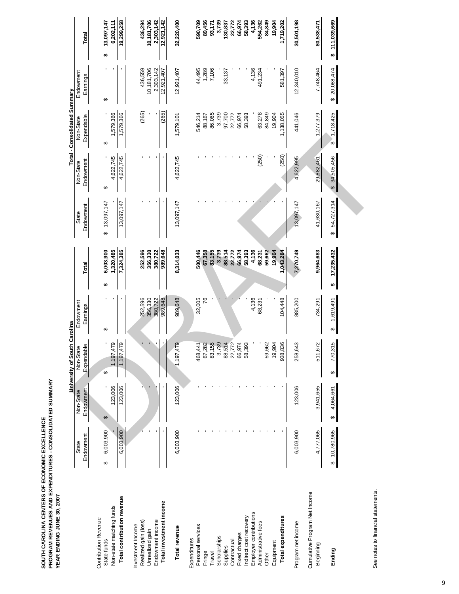SOUTH CAROLINA CENTERS OF ECONOMIC EXCELLENCE<br>PROGRAM REVENUES AND EXPENDITURES - CONSOLIDATED SUMMARY<br>YEAR ENDING JUNE 30, 2007 **PROGRAM REVENUES AND EXPENDITURES - CONSOLIDATED SUMMARY SOUTH CAROLINA CENTERS OF ECONOMIC EXCELLENCE YEAR ENDING JUNE 30, 2007**

|                                            |                 |                | University of South Carolina |                |                 |                 |                                       | Total - Consolidated Summary        |                 |                 |
|--------------------------------------------|-----------------|----------------|------------------------------|----------------|-----------------|-----------------|---------------------------------------|-------------------------------------|-----------------|-----------------|
|                                            | State           | Non-State      | Non-State                    | Endowment      |                 | State           | Non-State                             | Non-State                           | Endowment       |                 |
|                                            | Endowment       | Endowment      | Expendable                   | Earnings       | Total           | Endowment       | Endowment                             | Expendable                          | Earnings        | Total           |
| <b>Contribution Revenue</b>                |                 |                |                              |                |                 |                 |                                       |                                     |                 |                 |
| State funds                                | 6,003,900<br>↮  | $\Theta$       | ↔                            | ↮              | 6,003,900<br>မာ | 13,097,147<br>↔ | ↮                                     | မာ                                  | ↮               | 13,097,147<br>↮ |
| Non-state matching funds                   |                 | 123,006        | 479<br>1,197,                |                | 1,320,485       |                 | 4,622,745                             | 1,579,366                           |                 | 6,202,111       |
| Total contribution revenue                 | 6,003,900       | 123,006        | 479<br>1,197,                |                | 7,324,385       | 13,097,147      | 4,622,745                             | 1,579,366                           |                 | 19,299,258      |
| Investment Income                          |                 |                |                              |                |                 |                 |                                       |                                     |                 |                 |
| Realized gain (loss)                       |                 |                |                              | 252,596        | 252,596         |                 |                                       | (265)                               | 436,559         | 436,294         |
| Unrealized gain                            |                 |                |                              | 356,330        | 356,330         |                 |                                       |                                     | 10,181,706      | 10,181,706      |
| Endowment income                           |                 |                |                              | 380,722        | 380,722         |                 |                                       |                                     | 2,303,142       | 2,303,142       |
| Total investment income                    |                 | ı              |                              | 989,648        | 989,648         |                 |                                       | (265)                               | 12,921,407      | 12,921,142      |
| <b>Total revenue</b>                       | 6,003,900       | 123,006        | 479<br>1,197                 | 989,648        | 8,314,033       | 13,097,147      | 4,622,745                             | 1,579,101                           | 12,921,407      | 32,220,400      |
| Expenditures                               |                 |                |                              |                |                 |                 |                                       |                                     |                 |                 |
| Personal services                          |                 |                | 468,441                      | 32,005         | 500,446         |                 |                                       | 546,214                             | 44,495          | 590,709         |
| Fringe                                     |                 |                | 67,282                       | 76             | 67,358          |                 |                                       | 88,167                              |                 | 89,456          |
| Travel                                     |                 |                | 83,155                       |                | 83,155          |                 |                                       | 86,065                              | 1,289<br>7,106  | 93,171          |
| Scholarships                               |                 |                | 3,739                        |                | 3,739           |                 |                                       | 3,739                               |                 | 3,739           |
| Supplies                                   |                 |                | 88,514<br>22,772             |                | 88,514          |                 |                                       | 97,700                              | 33,137          | 130,837         |
| Contractual                                |                 |                |                              |                | 22,772          |                 |                                       | 22,772                              |                 | 22,772          |
| Fixed charges                              |                 |                | 66,974                       |                | 66,974          |                 |                                       | 66,974                              |                 | 66,974          |
| Indirect cost recovery                     |                 |                | 393<br>58,                   |                | 58,393          |                 |                                       | 58,393                              |                 | 58,393          |
| Employer contributions                     |                 |                |                              | 4,136          | 4,136           |                 |                                       |                                     | 4,136           | 4,136           |
| Administrative fees                        |                 |                |                              | 68,231         | 68,231          |                 | (250)                                 | 63,278                              | 491,234         | 554,262         |
| Other                                      |                 |                | 59,662                       |                | 59,662          |                 |                                       | 84,849                              |                 | 84,849          |
| Equipment                                  |                 |                | 19,904                       |                | 19,904          |                 |                                       | 19,904                              |                 | 19,904          |
| Total expenditures                         |                 |                | 836<br>938,                  | 104,448        | 1,043,284       |                 | (250)                                 | 1,138,055                           | 581,397         | 1,719,202       |
| Program net income                         | 6,003,900       | 123,006        | 643<br>258,                  | 885,200        | 7,270,749       | 3,097,147       | 4,622,995                             | 441,046                             | 12,340,010      | 30,501,198      |
| Cumulative Program Net Income<br>Beginning | 4,777,065       | 3,941,655      | 672<br>511                   | 734,291        | 9,964,683       | 41,630,167      | 29,882,461                            | 1,277,379                           | 7,748,464       | 80,538,471      |
|                                            |                 |                |                              |                |                 |                 |                                       |                                     |                 |                 |
| Ending                                     | 10,780,965<br>↮ | 4,064,661<br>↮ | 315<br>770,<br>↮             | 1,619,491<br>↮ | 17,235,432<br>↮ | 54,727,314<br>↮ | 34,505,456<br>$\overline{\mathbb{R}}$ | 1,718,425<br>$\boldsymbol{\varphi}$ | 20,088,474<br>↔ | \$111,039,669   |
|                                            |                 |                |                              |                |                 |                 |                                       |                                     |                 |                 |
| See notes to financial statements.         |                 |                |                              |                |                 |                 |                                       |                                     |                 |                 |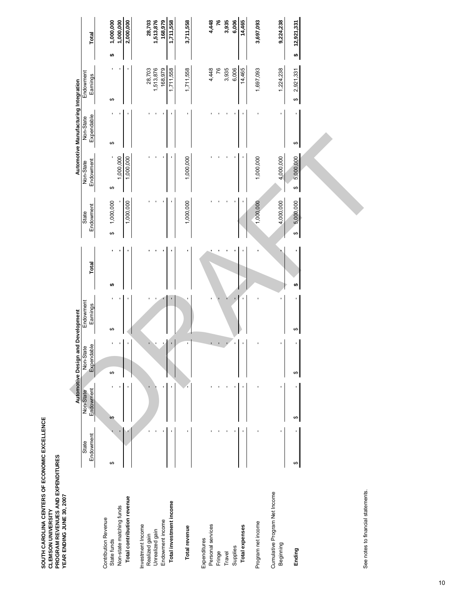|                                    |                           |                        | Automotive Design and Development |                        |                |                    |                        | Automotive Manufacturing Integration |                       |                 |
|------------------------------------|---------------------------|------------------------|-----------------------------------|------------------------|----------------|--------------------|------------------------|--------------------------------------|-----------------------|-----------------|
|                                    | Endowment<br><b>State</b> | Endowment<br>Non-State | Expendable<br>Non-State           | Endowment<br>Earnings  | Total          | Endowment<br>State | Endowment<br>Non-State | Expendable<br>Non-State              | Endowment<br>Earnings | Total           |
|                                    |                           |                        |                                   |                        |                |                    |                        |                                      |                       |                 |
| <b>Contribution Revenue</b>        |                           |                        |                                   |                        |                |                    |                        |                                      |                       |                 |
| State funds                        | ↮                         | $\boldsymbol{\varphi}$ | ↮                                 | $\boldsymbol{\varphi}$ | ٠<br>₩,        | 1,000,000<br>↮     | ı<br>↮                 | ↮                                    | ↮                     | 1,000,000<br>↮  |
| Non-state matching funds           | ı.                        | I.                     | ı                                 |                        |                |                    | 1,000,000              |                                      | $\mathbf{I}$          | 1,000,000       |
| Total contribution revenue         |                           |                        |                                   |                        | ٠              | 1,000,000          | 1,000,000              |                                      |                       | 2,000,000       |
|                                    |                           |                        |                                   |                        |                |                    |                        |                                      |                       |                 |
| Investment Income                  |                           |                        |                                   |                        |                |                    |                        |                                      |                       |                 |
| Realized gain                      | ı                         | ı                      |                                   |                        |                |                    | ٠                      |                                      | 28,703                | 28,703          |
| Unrealized gain                    |                           |                        |                                   | J.                     |                |                    |                        |                                      | 1,513,876             | 1,513,876       |
| Endowment income                   | $\blacksquare$            | $\mathbf{I}$           |                                   |                        | $\blacksquare$ | $\blacksquare$     | ٠                      | ٠                                    | 168,979               | 168,979         |
| Total investment income            |                           |                        |                                   |                        | ٠              |                    |                        | $\mathbf{I}$                         | 1,711,558             | 1,711,558       |
| Total revenue                      |                           |                        |                                   |                        | ٠              | 1,000,000          | 1,000,000              |                                      | 1,711,558             | 3,711,558       |
|                                    |                           |                        |                                   |                        |                |                    |                        |                                      |                       |                 |
| Expenditures                       |                           |                        |                                   |                        |                |                    |                        |                                      |                       |                 |
| Personal services                  |                           |                        |                                   |                        |                |                    |                        |                                      | 4,448                 | 4,448           |
| Fringe                             |                           |                        |                                   |                        |                |                    |                        |                                      | 76                    | 76              |
| Travel                             |                           | ı                      |                                   |                        |                |                    |                        |                                      | 3,935                 | 3,935           |
| Supplies                           |                           |                        | $\blacksquare$                    |                        |                |                    |                        |                                      | 6,006                 | 6,006           |
| <b>Total expenses</b>              | ı                         | J.                     | J                                 |                        |                |                    |                        | ı                                    | 14,465                | 14,465          |
| Program net income                 |                           |                        |                                   |                        |                | 1,000,000          | 1,000,000              |                                      | 1,697,093             | 3,697,093       |
| Cumulative Program Net Income      |                           |                        |                                   |                        |                |                    |                        |                                      |                       |                 |
| Beginning                          |                           |                        |                                   |                        |                | 4,000,000          | 4,000,000              |                                      | 1,224,238             | 9,224,238       |
| Ending                             | ↮                         | မာ                     | ٠<br>↮                            | ↮                      | ↮              | 5,000,000<br>↮     | 5,000,000<br>$\bullet$ | ↮                                    | 2,921,331<br>↮        | 12,921,331<br>↮ |
|                                    |                           |                        |                                   |                        |                |                    |                        |                                      |                       |                 |
| See notes to financial statements. |                           |                        |                                   |                        |                |                    |                        |                                      |                       |                 |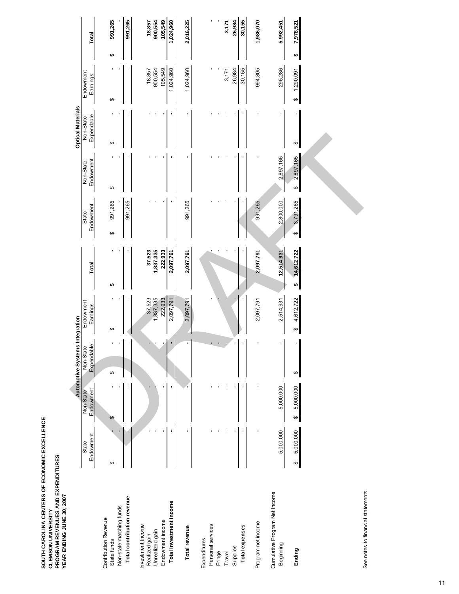|                                    |                    |                        | Automotive Systems Integration |                        |                       |                     |                    |                                     | <b>Optical Materials</b> |                       |                |
|------------------------------------|--------------------|------------------------|--------------------------------|------------------------|-----------------------|---------------------|--------------------|-------------------------------------|--------------------------|-----------------------|----------------|
|                                    | Endowment<br>State | Endowment<br>Non-State | Expendable<br>Non-State        |                        | Endowment<br>Earnings | Total               | Endowment<br>State | Endowment<br>Non-State              | Expendable<br>Non-State  | Endowment<br>Earnings | Total          |
|                                    |                    |                        |                                |                        |                       |                     |                    |                                     |                          |                       |                |
| <b>Contribution Revenue</b>        |                    |                        |                                |                        |                       |                     |                    |                                     |                          |                       |                |
| State funds                        | ↮                  | $\boldsymbol{\varphi}$ | ↮                              | $\boldsymbol{\varphi}$ |                       | ₩                   | 991,265<br>↮       | $\boldsymbol{\varphi}$              | $\boldsymbol{\varphi}$   | ↮                     | 991,265<br>↮   |
| Non-state matching funds           | $\blacksquare$     | I.                     |                                |                        | $\mathbf{I}$          | ٠                   |                    | ٠                                   |                          | ٠                     | $\blacksquare$ |
| Total contribution revenue         |                    |                        |                                |                        |                       | ٠                   | 991,265            |                                     |                          |                       | 991,265        |
| Investment Income                  |                    |                        |                                |                        |                       |                     |                    |                                     |                          |                       |                |
| Realized gain                      | $\blacksquare$     | $\mathbf{I}$           |                                |                        | 37,523                |                     |                    |                                     |                          | 18,857                | 18,857         |
| Unrealized gain                    |                    |                        |                                |                        | ,837,335              | 37,523<br>1,837,335 |                    |                                     |                          | 900,554               | 900,554        |
| Endowment income                   |                    | t.                     |                                |                        | 222,933               | 222,933             |                    | ٠                                   |                          | 105,549               | 105,549        |
| Total investment income            |                    | ï                      |                                |                        | 2,097,791             | 2,097,791           |                    |                                     |                          | 1,024,960             | 1,024,960      |
| <b>Total revenue</b>               |                    |                        |                                |                        | 2,097,791             | 2,097,791           | 991,265            |                                     |                          | 1,024,960             | 2,016,225      |
| Expenditures                       |                    |                        |                                |                        |                       |                     |                    |                                     |                          |                       |                |
| Personal services                  |                    |                        |                                |                        |                       |                     |                    |                                     |                          |                       |                |
| Fringe                             |                    |                        |                                |                        |                       |                     |                    |                                     |                          |                       |                |
| Travel                             | ı                  | ٠                      |                                |                        |                       |                     |                    |                                     |                          | 3,171                 | 3,171          |
| Supplies                           | ı                  | ٠                      |                                | $\mathbf{r}$           |                       |                     | ı                  | ٠                                   | ı                        | 26,984                | 26,984         |
| Total expenses                     | ×,                 | $\mathbf{I}$           |                                | ٠                      |                       | ٠                   |                    | ٠                                   | ٠                        | 30,155                | 30,155         |
| Program net income                 | ı                  | ï                      |                                |                        | 2,097,791             | 2,097,791           | 991,265            |                                     |                          | 994,805               | 1,986,070      |
| Cumulative Program Net Income      |                    |                        |                                |                        |                       |                     |                    |                                     |                          |                       |                |
| Beginning                          | 5,000,000          | 5,000,000              |                                | ı                      | 2,514,931             | 12,514,931          | 2,800,000          | 2,897,165                           | ı                        | 295,286               | 5,992,451      |
| Ending                             | 5,000,000<br>↮     | 5,000,000<br>↮         | ↮                              | ↮                      | 4,612,722             | 14,612,722<br>↮     | 3,791,265<br>↮     | 2,897,165<br>$\boldsymbol{\varphi}$ | ↮                        | 1,290,091<br>↮        | 7,978,521<br>↮ |
| See notes to financial statements. |                    |                        |                                |                        |                       |                     |                    |                                     |                          |                       |                |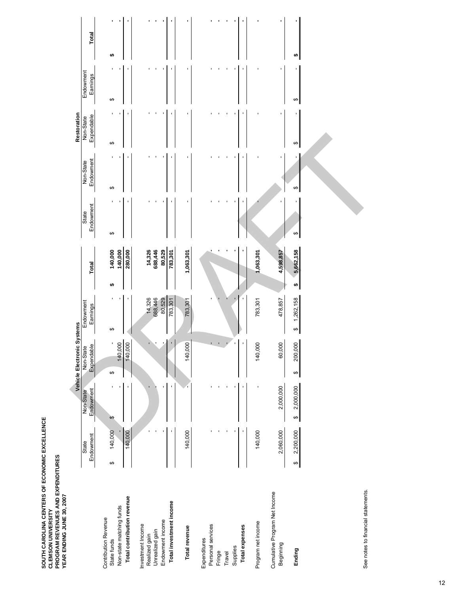|                                            |                     |                                      | Vehicle Electronic                | <b>Systems</b>         |                   |                        |                        | Restoration            |                        |                |
|--------------------------------------------|---------------------|--------------------------------------|-----------------------------------|------------------------|-------------------|------------------------|------------------------|------------------------|------------------------|----------------|
|                                            | State               | Non-State                            | Non-State                         | Endowment              |                   | State                  | Non-State              | Non-State              | Endowment              |                |
|                                            | Endowment           | Endowment                            | Expendable                        | Earnings               | Total             | Endowment              | Endowment              | Expendable             | Earnings               | Total          |
| <b>Contribution Revenue</b><br>State funds | 140,000<br>↮        | $\bullet$                            | ↮                                 | $\boldsymbol{\varphi}$ | 140,000<br>↮      | $\boldsymbol{\varphi}$ | $\boldsymbol{\varphi}$ | $\boldsymbol{\varphi}$ | $\boldsymbol{\varphi}$ | ↮              |
| Non-state matching funds                   |                     | $\blacksquare$                       | 140,000                           | $\blacksquare$<br>٠    | 140,000           | ٠                      | $\mathbf{I}$           | ٠                      | ٠                      | $\blacksquare$ |
| Total contribution revenue                 | 140,000             |                                      | 140,000                           |                        | 280,000           |                        |                        | ٠                      |                        | ٠              |
|                                            |                     |                                      |                                   |                        |                   |                        |                        |                        |                        |                |
| Investment Income                          |                     |                                      |                                   |                        |                   |                        |                        |                        |                        |                |
| Unrealized gain<br>Realized gain           | $\blacksquare$<br>ï | $\blacksquare$                       | $\mathbf{r}$<br>ı                 | 14,326<br>688,446      | 14,326<br>688,446 |                        | ٠<br>٠                 | 1<br>ı                 | ٠<br>٠                 |                |
| Endowment income                           | ĭ.                  | $\mathbf{r}$                         |                                   | 80,529                 | 80,529            | 1                      | 1                      | ٠                      | ٠                      |                |
| Total investment income                    | t                   | ï                                    | 네<br>$\bar{\mathbf{r}}$           | 783,301                | 783,301           | J.                     | J.                     | J.                     | J.                     | ٠              |
|                                            |                     |                                      |                                   |                        |                   |                        |                        |                        |                        |                |
| Total revenue                              | 140,000             |                                      | 140,000                           | 783,301                | 1,063,301         |                        |                        |                        |                        |                |
| Expenditures                               |                     |                                      |                                   |                        |                   |                        |                        |                        |                        |                |
| Personal services                          |                     | ٠                                    |                                   | ٠                      |                   |                        |                        |                        |                        |                |
| Fringe                                     |                     |                                      |                                   |                        |                   |                        |                        |                        |                        |                |
| Travel                                     | ı                   | $\blacksquare$                       | t,                                |                        |                   |                        | ı                      | ı                      | ٠                      | ı              |
| Supplies                                   | ı                   | $\blacksquare$                       | $\mathbf{r}$                      | ı                      |                   | f,                     | J.                     | ٠                      | ı                      | f,             |
| Total expenses                             | ٠                   | $\mathbf{I}$                         | $\bar{\mathbf{r}}$                |                        | ٠                 |                        | $\mathbf{I}$           | ٠                      | ٠                      | ٠              |
| Program net income                         | 140,000             | ï                                    | 140,000                           | 783,301                | 1,063,301         |                        | ٠                      | ï                      |                        | ٠              |
| Cumulative Program Net Income              |                     |                                      |                                   |                        |                   |                        |                        |                        |                        |                |
| Beginning                                  | 2,060,000           | 2,000,000                            | 60,000                            | 478,857                | 4,598,857         |                        | ı                      | ٠                      | ï                      | ٠              |
| Ending                                     | 2,200,000<br>↮      | 2,000,000<br>$\qquad \qquad \bullet$ | 200,000<br>$\boldsymbol{\varphi}$ | 1,262,158<br>↮         | 5,662,158<br>↮    | $\boldsymbol{\varphi}$ | ↮                      | ↮                      | ↮                      | ↮              |
| See notes to financial statements.         |                     |                                      |                                   |                        |                   |                        |                        |                        |                        |                |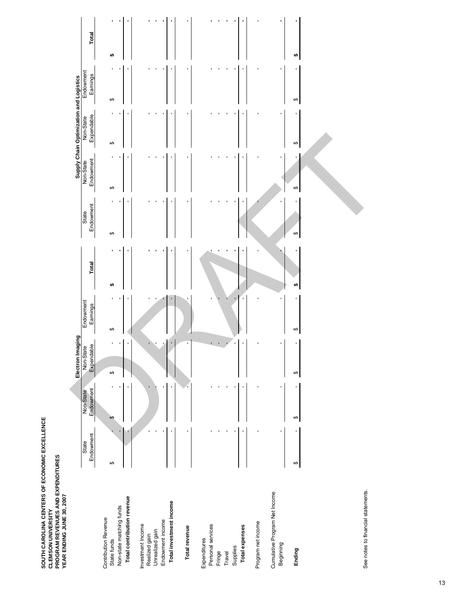|                                    |                     |                        | Electron Imaging        |                        |              |                    |                        | Supply Chain Optimization and Logistics |                       |              |
|------------------------------------|---------------------|------------------------|-------------------------|------------------------|--------------|--------------------|------------------------|-----------------------------------------|-----------------------|--------------|
|                                    | Endowment<br>State  | Endowment<br>Non-State | Expendable<br>Non-State | Endowment<br>Earnings  | Total        | Endowment<br>State | Endowment<br>Non-State | Expendable<br>Non-State                 | Endowment<br>Earnings | <b>Total</b> |
|                                    |                     |                        |                         |                        |              |                    |                        |                                         |                       |              |
| <b>Contribution Revenue</b>        |                     |                        |                         |                        |              |                    |                        |                                         |                       |              |
| State funds                        | ↮                   | $\theta$               | ٠<br>↮                  | $\boldsymbol{\varphi}$ | ↮            | ٠<br>↮             | $\boldsymbol{\varphi}$ | ٠<br>↮                                  | ٠<br>↮                | ↮            |
| Non-state matching funds           | $\blacksquare$      | ı                      | $\blacksquare$          | ٠                      | ٠            | $\blacksquare$     | ٠                      | $\blacksquare$                          | $\blacksquare$        | ٠            |
| Total contribution revenue         |                     |                        | 1                       |                        | J.           | ٠                  |                        | ٠                                       | $\mathbf{I}$          | ×            |
|                                    |                     |                        |                         |                        |              |                    |                        |                                         |                       |              |
| Investment Income                  |                     |                        |                         |                        |              |                    |                        |                                         |                       |              |
| Unrealized gain<br>Realized gain   | $\blacksquare$<br>ı | $\blacksquare$         | r.<br>٠                 | t                      |              | ٠<br>٠             |                        | ٠<br>п                                  | ٠<br>J                | ٠            |
| Endowment income                   |                     |                        |                         |                        | ٠            | ٠                  |                        | ٠                                       | 1                     | ٠            |
|                                    | t.                  | T.                     | U                       |                        |              |                    |                        |                                         |                       |              |
| Total investment income            | t                   | ï                      | I                       | ï                      | ٠            | J.                 | ı                      | J.                                      | ı                     | ı            |
| Total revenue                      |                     |                        | ×                       |                        |              | ×                  |                        | J.                                      | ×.                    |              |
|                                    |                     |                        |                         |                        |              |                    |                        |                                         |                       |              |
| Expenditures                       |                     |                        |                         |                        |              |                    |                        |                                         |                       |              |
| Personal services                  | ٠                   | ı                      |                         | J.                     |              |                    |                        |                                         |                       |              |
| Fringe                             |                     |                        |                         |                        |              |                    |                        |                                         |                       |              |
| Travel                             |                     |                        |                         |                        |              |                    |                        |                                         |                       |              |
|                                    | ı                   |                        |                         |                        |              |                    |                        | ٠                                       |                       |              |
| Supplies                           | ×,                  | ×,                     | $\blacksquare$          | ı                      | ٠            | ٠                  | ı                      | ï                                       | ٠                     | ٠            |
| Total expenses                     | $\blacksquare$      | $\mathbf{I}$           | $\blacksquare$          |                        | ٠            | ٠                  | ×,                     | $\blacksquare$                          | $\blacksquare$        | ٠            |
|                                    |                     |                        |                         |                        |              |                    |                        |                                         |                       |              |
| Program net income                 | J.                  | J.                     | J.                      |                        | $\mathbf{I}$ |                    | ı                      | J.                                      | J.                    |              |
| Cumulative Program Net Income      |                     |                        |                         |                        |              |                    |                        |                                         |                       |              |
| Beginning                          | ı                   | ï                      | $\mathbf{r}$            | ı                      |              | ٠                  | ı                      | f,                                      | ı                     | ٠            |
|                                    |                     |                        |                         |                        |              |                    |                        |                                         |                       |              |
| Ending                             | ↮                   | ↮                      | $\blacksquare$<br>↮     | ↮                      | ↮            | ↮                  | ↮                      | ↮                                       | ↮                     | ٠<br>H)      |
| See notes to financial statements. |                     |                        |                         |                        |              |                    |                        |                                         |                       |              |
|                                    |                     |                        |                         |                        |              |                    |                        |                                         |                       |              |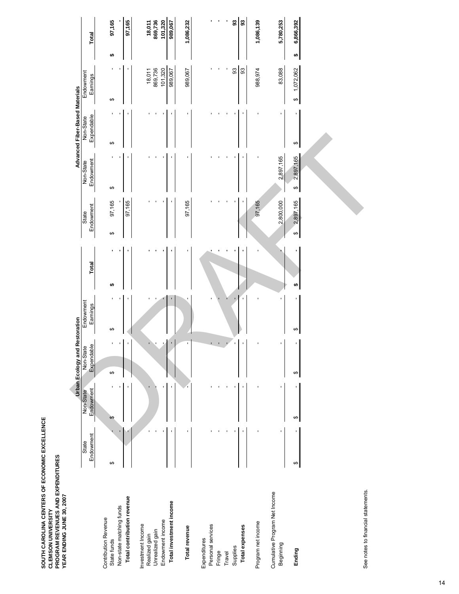|                                    |                    |                        | <b>Urban Ecology and Restoration</b> |                       |        |                    |                                     | Advanced Fiber-Based Materials |                       |                   |
|------------------------------------|--------------------|------------------------|--------------------------------------|-----------------------|--------|--------------------|-------------------------------------|--------------------------------|-----------------------|-------------------|
|                                    | Endowment<br>State | Endowment<br>Non-State | Expendable<br>Non-State              | Endowment<br>Earnings | Total  | Endowment<br>State | Endowment<br>Non-State              | Expendable<br>Non-State        | Endowment<br>Earnings | Total             |
|                                    |                    |                        |                                      |                       |        |                    |                                     |                                |                       |                   |
| <b>Contribution Revenue</b>        |                    |                        |                                      |                       |        |                    |                                     |                                |                       |                   |
| State funds                        | ↮                  | $\Theta$               | ↮                                    | ↮                     | ₩,     | 97,165<br>↮        | $\boldsymbol{\varphi}$              | $\boldsymbol{\varphi}$         | ↮                     | 97,165<br>↮       |
| Non-state matching funds           | $\blacksquare$     |                        | $\blacksquare$                       | $\mathbf{I}$          | ٠      |                    | $\mathbf{I}$                        |                                | $\mathbf{I}$          | ٠                 |
| Total contribution revenue         |                    |                        |                                      |                       | J.     | 97,165             |                                     |                                |                       | 97,165            |
| Investment Income                  |                    |                        |                                      |                       |        |                    |                                     |                                |                       |                   |
| Realized gain                      | $\mathbf{I}$       | $\mathbf{I}$           |                                      |                       |        | ٠                  |                                     |                                |                       |                   |
| Unrealized gain                    | ×                  |                        |                                      |                       |        |                    |                                     |                                | 18,011<br>869,736     | 18,011<br>869,736 |
| Endowment income                   | ٠                  | t.                     |                                      |                       |        | ٠                  | 1                                   |                                | 101,320               | 101,320           |
| Total investment income            |                    | ï                      |                                      |                       |        | J.                 | ı                                   |                                | 989,067               | 989,067           |
| <b>Total revenue</b>               |                    |                        |                                      |                       |        | 97,165             |                                     |                                | 989,067               | 1,086,232         |
|                                    |                    |                        |                                      |                       |        |                    |                                     |                                |                       |                   |
| Expenditures                       |                    |                        |                                      |                       |        |                    |                                     |                                |                       |                   |
| Personal services                  | ٠                  |                        |                                      |                       |        |                    |                                     |                                | ٠                     |                   |
| Fringe                             |                    |                        |                                      |                       |        |                    |                                     |                                |                       |                   |
| Travel                             | ı                  | ı                      |                                      |                       |        | ı                  |                                     |                                | ı                     | ٠                 |
| Supplies                           | ı                  | ٠                      | J.                                   | $\blacksquare$        |        | ı                  | ı                                   | ï                              | 33                    | S                 |
| Total expenses                     | ٠                  | ٠                      | $\blacksquare$                       |                       | ٠<br>٠ | ٠                  | J.                                  | ٠                              | 93                    | ္တ                |
| Program net income                 |                    |                        |                                      |                       | ٠<br>٠ | 97,165             |                                     |                                | 988,974               | 1,086,139         |
| Cumulative Program Net Income      |                    |                        |                                      |                       |        |                    |                                     |                                |                       |                   |
| Beginning                          | ı                  | ï                      | ı                                    | ٠                     |        | 2,800,000          | 2,897,165                           | ı                              | 83,088                | 5,780,253         |
| Ending                             | ↮                  | ↮                      | ٠<br>↮                               | ↮                     | ↮      | 2,897,165<br>↮     | 2,897,165<br>$\boldsymbol{\varphi}$ | ↮                              | 1,072,062<br>↮        | 6,866,392<br>↮    |
| See notes to financial statements. |                    |                        |                                      |                       |        |                    |                                     |                                |                       |                   |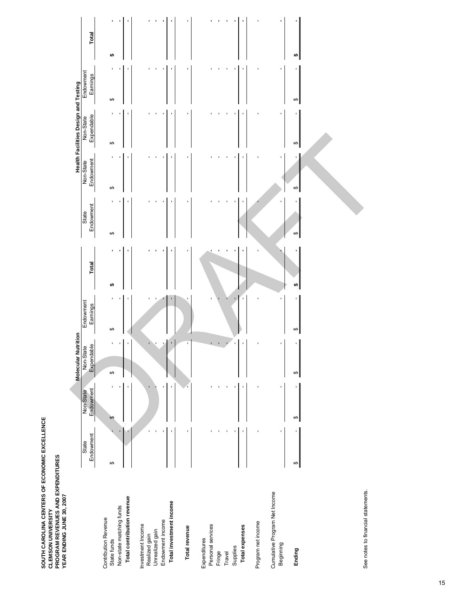|                                    |                        |                        | <b>Molecular Nutrition</b> |                             |       |                             |                             | Health Facilities Design and Testing |                        |       |
|------------------------------------|------------------------|------------------------|----------------------------|-----------------------------|-------|-----------------------------|-----------------------------|--------------------------------------|------------------------|-------|
|                                    | Endowment<br>State     | Endowment<br>Non-State | Expendable<br>Non-State    | Endowment<br>Earnings       | Total | Endowment<br>State          | Endowment<br>Non-State      | Expendable<br>Non-State              | Endowment<br>Earnings  | Total |
|                                    |                        |                        |                            |                             |       |                             |                             |                                      |                        |       |
| <b>Contribution Revenue</b>        |                        |                        |                            |                             |       |                             |                             |                                      |                        |       |
| State funds                        | $\boldsymbol{\varphi}$ | $\boldsymbol{\varphi}$ | $\mathbf{I}$<br>↮          | ٠<br>$\boldsymbol{\varphi}$ | ↮     | ٠<br>$\boldsymbol{\varphi}$ | ٠<br>$\boldsymbol{\varphi}$ | ٠<br>↮                               | $\boldsymbol{\varphi}$ | ↮     |
| Non-state matching funds           | ĭ,                     | $\mathbf{I}$           | $\mathbf{r}$               | ٠                           |       | ٠                           | $\blacksquare$              | ٠                                    | ٠                      | ٠     |
| Total contribution revenue         |                        | $\mathbf{I}$           | $\mathsf{I}$               |                             |       | ٠                           |                             |                                      |                        |       |
|                                    |                        |                        |                            |                             |       |                             |                             |                                      |                        |       |
| Investment Income                  |                        |                        |                            |                             |       |                             |                             |                                      |                        |       |
| Realized gain                      | ı                      | $\mathbf{I}$           | r,                         |                             |       |                             | ٠                           | ٠                                    | ٠                      |       |
| Unrealized gain                    | ï                      |                        | ı                          |                             |       |                             |                             | ٠                                    |                        |       |
| Endowment income                   | $\blacksquare$         | $\mathbf{I}$           | 키                          |                             |       | 1                           | ٠                           | ٠                                    | ٠                      |       |
| Total investment income            | ï                      | $\bar{1}$              | $\bar{t}$                  |                             |       | J.                          | J.                          | J.                                   | J.                     |       |
|                                    |                        |                        |                            |                             |       |                             |                             |                                      |                        |       |
| Total revenue                      |                        |                        | ٠                          |                             |       | ٠                           | ٠                           |                                      |                        |       |
|                                    |                        |                        |                            |                             |       |                             |                             |                                      |                        |       |
| Expenditures                       |                        |                        |                            |                             |       |                             |                             |                                      |                        |       |
| Personal services                  | ı                      | ٠                      |                            |                             |       |                             |                             |                                      |                        |       |
| Fringe                             |                        | ٠                      |                            |                             |       |                             |                             |                                      |                        |       |
| Travel                             | ı                      | ı                      | ĭ.                         |                             |       |                             |                             |                                      |                        |       |
| Supplies                           | ٠                      | ï                      | $\mathbf{r}$               | ٠                           |       | ı                           | ı                           | ٠                                    | ı                      |       |
| <b>Total expenses</b>              | $\blacksquare$         | $\blacksquare$         |                            | J.                          |       | J.                          | ٠                           | ٠                                    | ×,                     |       |
|                                    |                        |                        |                            |                             |       |                             |                             |                                      |                        |       |
| Program net income                 | ï                      | ï                      | $\mathbf{I}$               |                             |       |                             |                             | ï                                    | ı                      |       |
| Cumulative Program Net Income      |                        |                        |                            |                             |       |                             |                             |                                      |                        |       |
| Beginning                          | ı,                     | ı,                     | $\mathbf{r}$               | f,                          |       | ٠                           | ï                           | ٠                                    | ı                      | ٠     |
|                                    |                        |                        |                            |                             |       |                             |                             |                                      |                        |       |
| Ending                             | ↮                      | ↮                      | ا -<br>↮                   | $\boldsymbol{\varphi}$      | ↮     | $\boldsymbol{\varphi}$      | $\pmb{\varphi}$             | ↮                                    | ↮                      | ↮     |
| See notes to financial statements. |                        |                        |                            |                             |       |                             |                             |                                      |                        |       |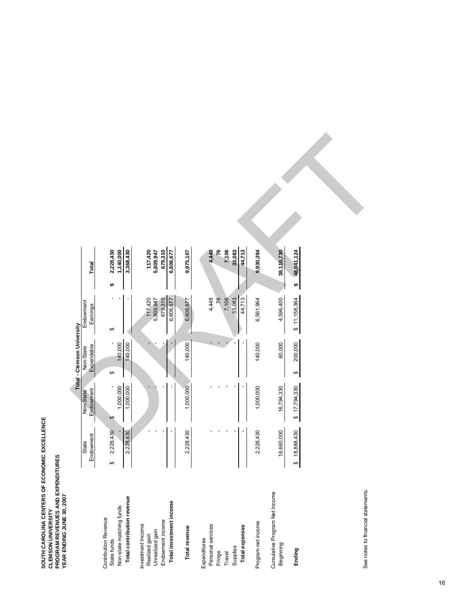**YEAR ENDING JUNE 30, 2007**

|                            |           |            |                             |                |                          |                            |                   |               |                 |                  |                         |                      |              |                   | ۴      |        |          |                |                    |                               |            |                           |
|----------------------------|-----------|------------|-----------------------------|----------------|--------------------------|----------------------------|-------------------|---------------|-----------------|------------------|-------------------------|----------------------|--------------|-------------------|--------|--------|----------|----------------|--------------------|-------------------------------|------------|---------------------------|
|                            |           | Total      |                             | 2,228,430      | 1,140,000                | 3,368,430                  |                   | 117,420       | 5,809,947       | 679,310          | 6,606,677               | 9,975,107            |              | 4,448             |        | 7,106  | 33,083   | 44,713         | 9,930,394          |                               | 38,110,730 | 48,041,124                |
|                            | Endowment | Earnings   |                             | ₩<br>↮         |                          |                            |                   | 117,420       | 5,809,947       | 679,310          | 6,606,677               | 6,606,677            |              | 4,448             | 76     | 7,106  | 33,083   | 44,713         | 6,561,964          |                               | 4,596,400  | $\bullet$<br>\$11,158,364 |
| Total - Clemson University | Non-State | Expendable |                             | ↔              | 140,000                  | 140,000                    |                   |               |                 |                  |                         | 140,000              |              |                   |        |        |          |                | 140,000            |                               | 60,000     | 200,000<br>↮              |
|                            | Non-State | Endowment  |                             | $\Theta$       | 1,000,000                | 1,000,000                  |                   |               |                 |                  |                         | 1,000,000            |              |                   |        |        |          |                | 1,000,000          |                               | 16,794,330 | \$17,794,330              |
|                            | State     | Endowment  |                             | 2,228,430<br>↮ |                          | 2,228,430                  |                   |               |                 |                  |                         | 2,228,430            |              |                   |        |        |          |                | 2,228,430          |                               | 16,660,000 | 18,888,430<br>$\bullet$   |
|                            |           |            | <b>Contribution Revenue</b> | State funds    | Non-state matching funds | Total contribution revenue | Investment Income | Realized gain | Unrealized gain | Endowment income | Total investment income | <b>Total revenue</b> | Expenditures | Personal services | Fringe | Travel | Supplies | Total expenses | Program net income | Cumulative Program Net Income | Beginning  | Ending                    |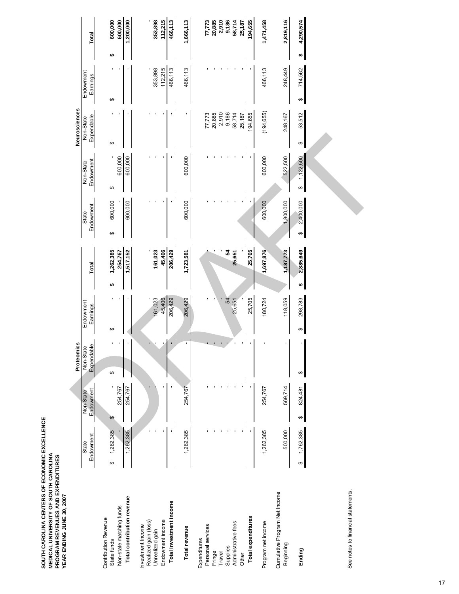|                                            |                                     |                        | Proteomics              |                        |              |           |                                   |                        | Neurosciences           |                       |                  |
|--------------------------------------------|-------------------------------------|------------------------|-------------------------|------------------------|--------------|-----------|-----------------------------------|------------------------|-------------------------|-----------------------|------------------|
|                                            | Endowment<br>State                  | Endowment<br>Non-State | Expendable<br>Non-State | Endowment<br>Earnings  |              | Total     | Endowment<br>State                | Endowment<br>Non-State | Expendable<br>Non-State | Endowment<br>Earnings | Total            |
| <b>Contribution Revenue</b><br>State funds | 1,262,385<br>$\boldsymbol{\varphi}$ | $\Theta$               | ↮                       | $\boldsymbol{\varphi}$ | ۄ            | 1,262,385 | 600,000<br>$\boldsymbol{\varphi}$ | ↮                      | ↮                       | ↮                     | 600,000<br>↮     |
| Non-state matching funds                   |                                     | 254,767                | ı                       |                        | $\mathbf{I}$ | 254,767   |                                   | 600,000                |                         |                       | 600,000          |
| Total contribution revenue                 | 1,262,385                           | 254,767                |                         |                        |              | 1,517,152 | 600,000                           | 600,000                |                         |                       | 1,200,000        |
| Realized gain (loss)<br>Investment Income  | $\blacksquare$                      | $\mathbf{I}$           |                         |                        |              |           |                                   | ٠                      |                         |                       |                  |
| Unrealized gain                            |                                     |                        |                         | 161,023                |              | 161,023   |                                   |                        |                         | 353,898               | 353,898          |
| Endowment income                           |                                     | T.                     |                         | 45,406                 |              | 45,406    |                                   |                        |                         | 112,215               | 112,215          |
| Total investment income                    |                                     | ï                      |                         | 206,429                |              | 206,429   |                                   |                        |                         | 466,113               | 466,113          |
| Total revenue                              | 1,262,385                           | 254,767                |                         | 206,429                |              | 1,723,581 | 600,000                           | 600,000                |                         | 466,113               | 1,666,113        |
| Personal services<br>Expenditures          |                                     |                        |                         |                        |              |           |                                   |                        | 77,773                  |                       |                  |
|                                            |                                     |                        |                         |                        |              |           |                                   |                        | 20,885                  |                       | $\frac{77}{773}$ |
|                                            |                                     | $\,$                   |                         |                        |              |           |                                   |                        | 2,910                   |                       | 2,910            |
|                                            | $\blacksquare$                      | $\blacksquare$         |                         |                        | £            | 54        |                                   |                        | 9,186                   |                       | 9,186            |
| Administrative fees                        | ٠                                   | $\mathbf I$            | f,                      | 25,651                 |              | 25,651    |                                   |                        | 58,714<br>25,187        |                       | 58,714<br>25,187 |
|                                            |                                     |                        |                         |                        |              |           |                                   |                        |                         |                       |                  |
| Total expenditures                         |                                     |                        |                         | 25,705                 |              | 25,705    |                                   |                        | 194,655                 |                       | 194,655          |
| Program net income                         | 1,262,385                           | 254,767                |                         | 180,724                |              | 1,697,876 | 600,000                           | 600,000                | (194, 655)              | 466,113               | 1,471,458        |
| Cumulative Program Net Income              | 500,000                             | 569,714                |                         | 118,059                |              | 1,187,773 | 1,800,000                         | 522,500                | 248, 167                | 248,449               | 2,819,116        |
|                                            | 1,762,385<br>↮                      | 824,481<br>↮           | ↮                       | 298,783<br>↮           | ↮            | 2,885,649 | 2,400,000<br>↮                    | 1,122,500<br>↮         | 53,512<br>↮             | 714,562<br>↮          | 4,290,574<br>↮   |
| See notes to financial statements.         |                                     |                        |                         |                        |              |           |                                   |                        |                         |                       |                  |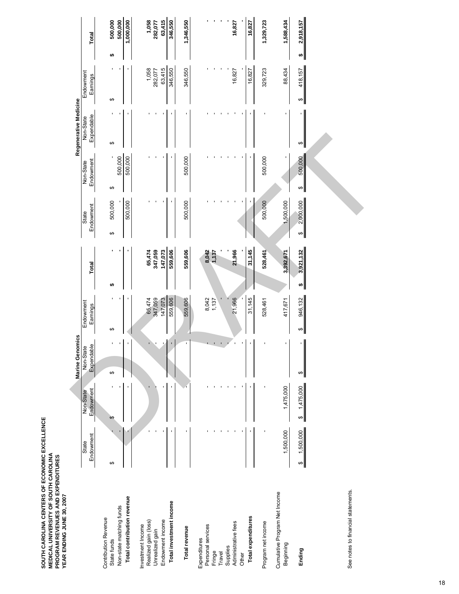|                       | Total                                            |                             | 500,000<br>↮                      | 500,000                  | 1,000,000                  |                   | 1,058<br>1,058       | 282,077<br>282,077 | 63,415<br>63,415 | 346,550<br>346,550      | 1,346,550<br>346,550 |                                   |                |                     | 16,827<br>16,827    |       | 16,827<br>16,827   | 1,329,723<br>329,723 | 1,588,434<br>88,434                        | 2,918,157<br>↮<br>418, 157 |                                    |
|-----------------------|--------------------------------------------------|-----------------------------|-----------------------------------|--------------------------|----------------------------|-------------------|----------------------|--------------------|------------------|-------------------------|----------------------|-----------------------------------|----------------|---------------------|---------------------|-------|--------------------|----------------------|--------------------------------------------|----------------------------|------------------------------------|
| Regenerative Medicine | Endowment<br>Earnings<br>Expendable<br>Non-State |                             | $\boldsymbol{\varphi}$            |                          |                            |                   |                      |                    |                  |                         |                      |                                   |                |                     |                     |       |                    |                      |                                            | ↮                          |                                    |
|                       | Endowment<br>Non-State                           |                             | ↮<br>↮                            | 500,000                  | 500,000                    |                   |                      |                    |                  |                         | 500,000              |                                   |                |                     |                     |       |                    | 500,000              |                                            | ↮<br>500,000<br>↮          |                                    |
|                       | Endowment<br>State                               |                             | 500,000<br>$\boldsymbol{\varphi}$ |                          | 500,000                    |                   |                      |                    |                  |                         | 500,000              |                                   |                |                     |                     |       |                    | 500,000              | 1,500,000                                  | 2,000,000<br>↮             |                                    |
|                       | Total                                            |                             | ۄ                                 |                          |                            |                   | 65,474               | 347,059            | 147,073          | 559,606                 | 559,606              | 8,042                             | 1,137          |                     | 21,966              |       | 31,145             | 528,461              | 3,392,671                                  | 3,921,132<br>↮             |                                    |
|                       | Endowment<br>Earnings                            |                             | $\boldsymbol{\varphi}$            |                          |                            |                   | 65,474               | 347,059            | 147,073          | 559,606                 | 559,606              |                                   | 8,042<br>1,137 |                     | 21,966              |       | 31,145             | 528,461              | 417,671                                    | 946,132<br>↮               |                                    |
| Marine Genomics       | Expendable<br>Non-State                          |                             | ↮                                 |                          |                            |                   |                      |                    |                  |                         |                      |                                   |                |                     | f,                  |       |                    |                      |                                            | ↮                          |                                    |
|                       | Endowment<br>Non-State                           |                             | ↮                                 | ٠                        |                            |                   | $\mathbf{I}$         |                    | T.               | ï                       |                      |                                   |                | $\blacksquare$<br>٠ | ٠                   | ٠     |                    |                      | 1,475,000                                  | 1,475,000<br>↮             |                                    |
|                       | Endowment<br>State                               |                             | ↮                                 |                          |                            |                   | ٠                    |                    |                  |                         |                      |                                   |                | $\blacksquare$      | ٠                   |       |                    | ï                    | 1,500,000                                  | 1,500,000<br>↮             |                                    |
|                       |                                                  | <b>Contribution Revenue</b> | State funds                       | Non-state matching funds | Total contribution revenue | Investment Income | Realized gain (loss) | Unrealized gain    | Endowment income | Total investment income | Total revenue        | Personal services<br>Expenditures | Fringe         | Supplies<br>Travel  | Administrative fees | Other | Total expenditures | Program net income   | Cumulative Program Net Income<br>Beginning | Ending                     | See notes to financial statements. |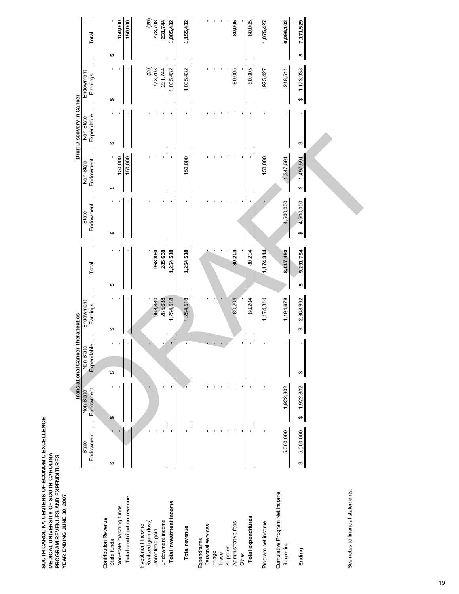|                                          | Total                   | 150,000<br>↮                                                           | 150,000                    | $(20)$<br>$773,708$                                          | 231,744          | 1,005,432               | 1,155,432     |                                   |                          | 80,005                          | 80,005                      | 1,075,427          | 6,096,102                                  | 7,171,529<br>↮                      |                                    |
|------------------------------------------|-------------------------|------------------------------------------------------------------------|----------------------------|--------------------------------------------------------------|------------------|-------------------------|---------------|-----------------------------------|--------------------------|---------------------------------|-----------------------------|--------------------|--------------------------------------------|-------------------------------------|------------------------------------|
|                                          | Endowment<br>Earnings   | ↮                                                                      |                            | (20)<br>773,708                                              | 231,744          | 1,005,432               | 1,005,432     |                                   |                          | 80,005                          | 80,005                      | 925,427            | 248,511                                    | 1,173,938<br>↮                      |                                    |
| Drug Discovery in Cancer                 | Expendable<br>Non-State | $\boldsymbol{\varphi}$                                                 |                            |                                                              |                  |                         |               |                                   |                          |                                 |                             |                    |                                            | ↮                                   |                                    |
|                                          | Endowment<br>Non-State  | 150,000<br>↮                                                           | 150,000                    |                                                              |                  |                         | 150,000       |                                   |                          |                                 |                             | 150,000            | 1,347,591                                  | 1,497,591<br>$\boldsymbol{\varphi}$ |                                    |
|                                          | Endowment<br>State      | $\boldsymbol{\varphi}$                                                 |                            |                                                              |                  |                         |               |                                   |                          |                                 |                             |                    | 4,500,000                                  | 4,500,000<br>↮                      |                                    |
|                                          | Total                   | ↮                                                                      | ٠<br>٠                     | 968,880                                                      | 285,638          | 1,254,518               | 1,254,518     |                                   |                          | 80,204                          | 80,204                      | 1,174,314          | 8,117,480                                  | 9,291,794<br>₩                      |                                    |
|                                          | Endowment<br>Earnings   | ↮                                                                      |                            | 968,880                                                      | 285,638          | 1,254,518               | 1,254,518     |                                   |                          | 80,204                          | 80,204                      | 1,174,314          | 1,194,678                                  | 2,368,992<br>↮                      |                                    |
| <b>Translational Cancer Therapeutics</b> | Expendable<br>Non-State | ↮                                                                      |                            |                                                              |                  |                         |               |                                   |                          |                                 |                             |                    |                                            | ↮                                   |                                    |
|                                          | Endowment<br>Non-State  | $\boldsymbol{\varphi}$                                                 |                            |                                                              | T.               | ï                       |               |                                   | $\overline{\phantom{a}}$ | $\blacksquare$<br>٠             | ı                           |                    | 1,922,802                                  | 1,922,802<br>↮                      |                                    |
|                                          | Endowment<br>State      | ↮                                                                      | $\blacksquare$             |                                                              |                  |                         |               |                                   |                          | $\blacksquare$<br>٠             |                             |                    | 5,000,000                                  | 5,000,000<br>↮                      |                                    |
|                                          |                         | Non-state matching funds<br><b>Contribution Revenue</b><br>State funds | Total contribution revenue | Realized gain (loss)<br>Investment Income<br>Unrealized gain | Endowment income | Total investment income | Total revenue | Personal services<br>Expenditures | Fringe<br>Travel         | Administrative fees<br>Supplies | Total expenditures<br>Other | Program net income | Cumulative Program Net Income<br>Beginning | Ending                              | See notes to financial statements. |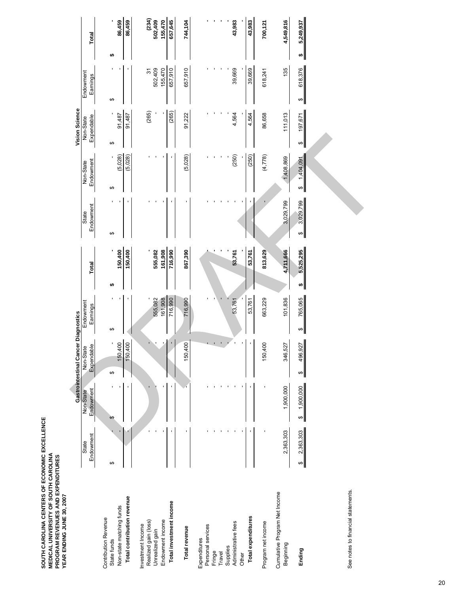|                                            |                    |                        | Gastrointestinal Cancer Diagnostics |                       |         |           |                    |                                     | <b>Vision Science</b>   |                       |                    |
|--------------------------------------------|--------------------|------------------------|-------------------------------------|-----------------------|---------|-----------|--------------------|-------------------------------------|-------------------------|-----------------------|--------------------|
|                                            | Endowment<br>State | Endowment<br>Non-State | Expendable<br>Non-State             | Endowment<br>Earnings |         | Total     | Endowment<br>State | Endowment<br>Non-State              | Expendable<br>Non-State | Endowment<br>Earnings | Total              |
| <b>Contribution Revenue</b><br>State funds | ↮                  | $\boldsymbol{\varphi}$ | ı<br>↮                              | ↮                     | ₩       |           | ↮                  | ↮                                   | ↮                       | ↮                     | ↮                  |
| Non-state matching funds                   | $\blacksquare$     | $\blacksquare$         | 150,400                             |                       |         | 150,400   | ٠                  | (5,028)                             | 91,487                  | $\blacksquare$        | 86,459             |
| Total contribution revenue                 |                    |                        | 150,400                             |                       |         | 150,400   |                    | (5,028)                             | 91,487                  |                       | 86,459             |
| Realized gain (loss)<br>Investment Income  |                    |                        |                                     |                       |         |           |                    |                                     | (265)                   | $\tilde{\mathcal{E}}$ |                    |
| Unrealized gain                            | J,                 |                        |                                     |                       | 555,082 | 555,082   |                    |                                     |                         | 502,409               | $(234)$<br>502,409 |
| Endowment income                           | ٠                  | T.                     |                                     | 161,908               |         | 161,908   |                    |                                     |                         | 155,470               | 155,470            |
| Total investment income                    | ٠                  | ×                      |                                     | 716,990               |         | 716,990   | J.                 |                                     | (265)                   | 657,910               | 657,645            |
| Total revenue                              |                    |                        | 150,400                             | 716,990               |         | 867,390   |                    | (5,028)                             | 91,222                  | 657,910               | 744,104            |
| Personal services<br>Expenditures          |                    |                        |                                     |                       |         |           |                    |                                     |                         |                       |                    |
| Travel                                     |                    |                        |                                     |                       |         |           |                    |                                     |                         |                       |                    |
| Supplies                                   | $\blacksquare$     | $\blacksquare$         |                                     |                       |         |           |                    |                                     |                         |                       |                    |
| Administrative fees                        | ٠<br>٠             | ×<br>٠                 | ı                                   |                       | 53,761  | 53,761    |                    | (250)                               | 4,564                   | 39,669                | 43,983             |
| Total expenditures                         |                    |                        |                                     |                       | 53,761  | 53,761    |                    | (250)                               | 4,564                   | 39,669                | 43,983             |
| Program net income                         | J.                 |                        | 150,400                             | 663,229               |         | 813,629   |                    | (4,778)                             | 86,658                  | 618,241               | 700,121            |
| Cumulative Program Net Income<br>Beginning | 2,363,303          | 1,900,000              | 346,527                             | 101,836               |         | 4,711,666 | 3,029,799          | 1,408,869                           | 111,013                 | 135                   | 4,549,816          |
| Ending                                     | 2,363,303<br>↮     | 1,900,000<br>↮         | 496,927<br>↮                        | 765,065<br>↮          | ↮       | 5,525,295 | 3,029,799<br>↮     | 1,404,091<br>$\boldsymbol{\varphi}$ | 197,671<br>↮            | 618,376<br>↮          | 5,249,937<br>↮     |
| See notes to financial statements.         |                    |                        |                                     |                       |         |           |                    |                                     |                         |                       |                    |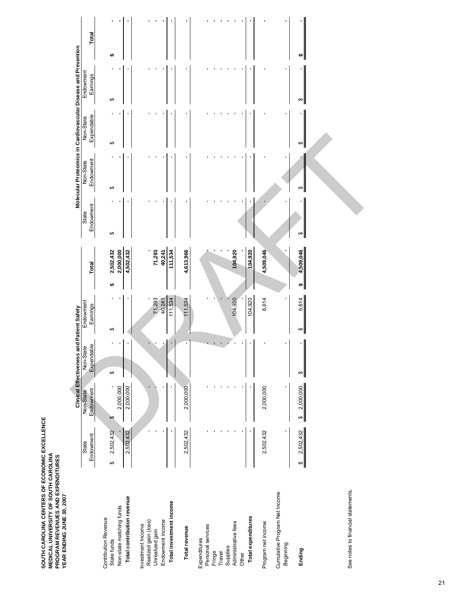|                                            |                    |                        | Clinical Effectiveness and Patient Safety |                        |                 |                        | Molecular Proteomics in Cardiovascular Disease and Prevention |                         |                        |                |
|--------------------------------------------|--------------------|------------------------|-------------------------------------------|------------------------|-----------------|------------------------|---------------------------------------------------------------|-------------------------|------------------------|----------------|
|                                            | Endowment<br>State | Endowment<br>Non-State | Expendable<br>Non-State                   | Endowment<br>Earnings  | Total           | Endowment<br>State     | Endowment<br>Non-State                                        | Expendable<br>Non-State | Endowment<br>Earnings  | <b>Total</b>   |
|                                            |                    |                        |                                           |                        |                 |                        |                                                               |                         |                        |                |
| <b>Contribution Revenue</b><br>State funds | 2,502,432<br>↮     | $\boldsymbol{\varphi}$ | ↮                                         | $\boldsymbol{\varphi}$ | 2,502,432<br>မာ | $\boldsymbol{\varphi}$ | ↮                                                             | ↮                       | $\boldsymbol{\varphi}$ | ↮              |
| Non-state matching funds                   |                    | 2,000,000              | $\blacksquare$                            | $\mathbf{I}$           | 2,000,000       | $\mathbf{I}$           |                                                               | ٠                       |                        | $\blacksquare$ |
| Total contribution revenue                 | 2,502,432          | 2,000,000              |                                           |                        | 4,502,432       |                        |                                                               |                         |                        | ×              |
|                                            |                    |                        |                                           |                        |                 |                        |                                                               |                         |                        |                |
| Realized gain (loss)<br>Investment Income  |                    |                        |                                           |                        |                 |                        |                                                               |                         |                        |                |
| Unrealized gain                            | $\blacksquare$     | $\blacksquare$         | r,                                        | 71,293                 | 71,293          |                        |                                                               | ٠                       |                        |                |
| Endowment income                           |                    | ı.                     |                                           | 40,241                 | 40,241          | 1                      | 1                                                             | ٠                       |                        | ٠              |
| Total investment income                    |                    | ï                      | ı                                         | 111,534                | 111,534         | J.                     | J.                                                            | $\blacksquare$          | $\blacksquare$         | ı              |
| Total revenue                              | 2,502,432          | 2,000,000              | $\blacksquare$                            | 111,534                | 4,613,966       | $\mathbf{I}$           | $\mathbf{I}$                                                  | $\mathbf{I}$            |                        | ٠              |
|                                            |                    |                        |                                           |                        |                 |                        |                                                               |                         |                        |                |
| Personal services<br>Expenditures          |                    |                        |                                           |                        |                 |                        |                                                               |                         |                        |                |
| Fringe                                     |                    |                        |                                           |                        |                 |                        |                                                               |                         |                        |                |
| Travel                                     | $\blacksquare$     | ٠                      |                                           | $\blacksquare$         |                 |                        |                                                               |                         |                        |                |
| Supplies                                   | $\blacksquare$     | $\blacksquare$         |                                           |                        |                 |                        |                                                               | ٠                       |                        |                |
| Administrative fees                        | ٠                  | ٠                      |                                           | 104,920                | 104,920         |                        |                                                               | ٠                       |                        |                |
| Other                                      |                    |                        | ı                                         |                        |                 |                        |                                                               | ٠                       |                        |                |
| Total expenditures                         |                    |                        | 1                                         | 104,920                | 104,920         |                        |                                                               |                         |                        |                |
| Program net income                         | 2,502,432          | 2,000,000              | ı                                         | 6,614                  | 4,509,046       |                        |                                                               | J.                      |                        |                |
|                                            |                    |                        |                                           |                        |                 |                        |                                                               |                         |                        |                |
| Cumulative Program Net Income<br>Beginning |                    |                        | ı                                         |                        | ٠               |                        |                                                               |                         |                        | ı              |
|                                            |                    |                        |                                           |                        |                 |                        |                                                               |                         |                        |                |
| Ending                                     | 2,502,432<br>↮     | 2,000,000<br>↮         | $\blacksquare$<br>↮                       | 6,614<br>↮             | 4,509,046<br>↮  | ↮                      | ↔                                                             | ↮                       | ↮                      | ₩,             |
| See notes to financial statements.         |                    |                        |                                           |                        |                 |                        |                                                               |                         |                        |                |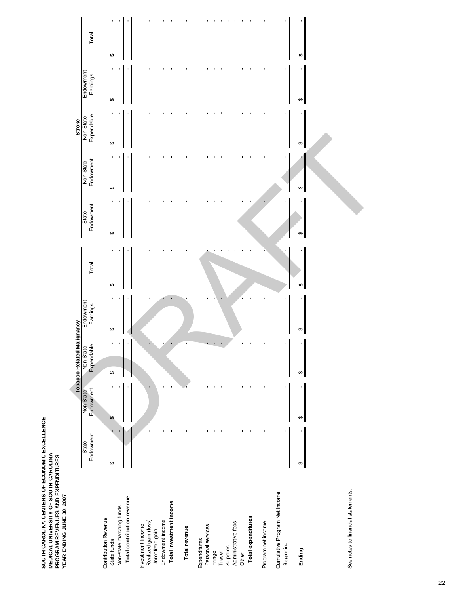|                                         |                        |                        | <b>Tobacco-Related Malignancy</b> |                        |       |                    |                        | <b>Stroke</b>           |                       |              |
|-----------------------------------------|------------------------|------------------------|-----------------------------------|------------------------|-------|--------------------|------------------------|-------------------------|-----------------------|--------------|
|                                         | Endowment<br>State     | Endowment<br>Non-State | Expendable<br>Non-State           | Endowment<br>Earnings  | Total | Endowment<br>State | Endowment<br>Non-State | Expendable<br>Non-State | Endowment<br>Earnings | <b>Total</b> |
| <b>Contribution Revenue</b>             |                        |                        |                                   |                        |       |                    |                        |                         |                       |              |
| State funds                             | ↮                      | $\theta$               | ٠<br>↮                            | $\boldsymbol{\varphi}$ | ↮     | ٠<br>↮             | $\boldsymbol{\varphi}$ | ٠<br>↮                  | ٠<br>↮                | ↮            |
| Non-state matching funds                | Ŧ.                     | $\blacksquare$         | $\blacksquare$                    | ٠                      | ٠     | $\mathbf{I}$       | ٠                      | $\blacksquare$          | $\blacksquare$        | ٠            |
| Total contribution revenue              |                        |                        | 1                                 |                        | J.    | ٠                  |                        | ٠                       | $\blacksquare$        | J.           |
|                                         |                        |                        |                                   |                        |       |                    |                        |                         |                       |              |
| Investment Income                       |                        |                        |                                   |                        |       |                    |                        |                         |                       |              |
| Realized gain (loss)<br>Unrealized gain | $\blacksquare$<br>ı    | $\blacksquare$         | ×.<br>٠                           | t                      |       | ٠<br>٠             |                        | ٠<br>п                  | $\mathbf{I}$<br>٠     |              |
| Endowment income                        | T,                     | T.                     |                                   |                        | ,     | ٠                  |                        | ٠                       | 1                     |              |
| Total investment income                 | J                      | ï                      | p                                 | ï                      | ٠     | ٠                  | ı                      | J,                      | $\blacksquare$        | ı            |
|                                         |                        |                        |                                   |                        |       |                    |                        |                         |                       |              |
| Total revenue                           | $\blacksquare$         |                        | $\blacksquare$                    |                        |       | $\mathbf{I}$       | $\blacksquare$         | $\blacksquare$          | $\mathbf{I}$          | ٠            |
| Expenditures                            |                        |                        |                                   |                        |       |                    |                        |                         |                       |              |
| Personal services                       |                        |                        |                                   |                        |       |                    |                        |                         |                       |              |
| Fringe                                  |                        |                        |                                   |                        |       |                    |                        |                         |                       |              |
| Travel                                  | $\blacksquare$         |                        |                                   | п                      |       |                    |                        |                         |                       |              |
| Supplies                                | $\blacksquare$         | $\blacksquare$         |                                   | ×.                     |       |                    |                        |                         | $\blacksquare$        |              |
| Administrative fees                     | ı                      | ٠                      | f,                                | $\blacksquare$         |       | ٠                  |                        |                         | ٠                     |              |
| Other                                   | ı                      | ı                      | $\blacksquare$                    | ٠                      |       | ٠                  |                        |                         | ٠                     |              |
| Total expenditures                      | ٠                      |                        | $\blacksquare$                    |                        |       |                    |                        |                         | ×                     |              |
|                                         |                        |                        |                                   |                        |       |                    |                        |                         |                       |              |
| Program net income                      | ٠                      | ï                      | ٠                                 |                        |       |                    | J.                     | J.                      | J.                    |              |
| Cumulative Program Net Income           |                        |                        |                                   |                        |       |                    |                        |                         |                       |              |
| Beginning                               | $\blacksquare$         |                        | 1                                 |                        | f,    |                    |                        |                         |                       | ı            |
| Ending                                  | $\boldsymbol{\varphi}$ | ↮                      | $\cdot$  <br>↮                    | ↮                      | ₩     | ↮                  | ↮                      | ↮                       | ↮                     | H.           |
|                                         |                        |                        |                                   |                        |       |                    |                        |                         |                       |              |
|                                         |                        |                        |                                   |                        |       |                    |                        |                         |                       |              |
|                                         |                        |                        |                                   |                        |       |                    |                        |                         |                       |              |
| See notes to financial statements.      |                        |                        |                                   |                        |       |                    |                        |                         |                       |              |
|                                         |                        |                        |                                   |                        |       |                    |                        |                         |                       |              |
|                                         |                        |                        |                                   |                        |       |                    |                        |                         |                       |              |
|                                         |                        |                        |                                   |                        |       |                    |                        |                         |                       |              |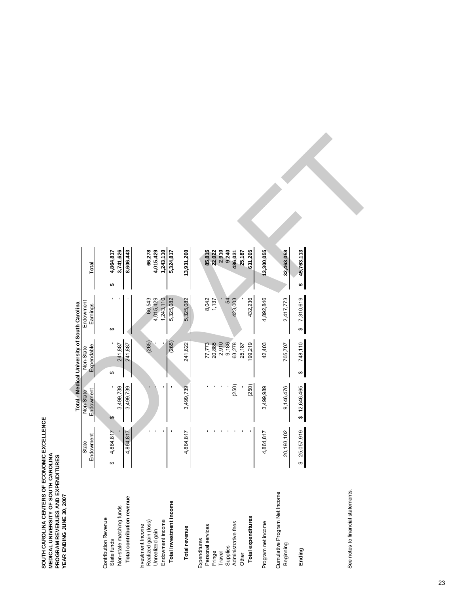|                                              | Total                   | 4,864,817<br>↮                             | 3,741,626                | 8,606,443                  | 66,278                                    | 4,015,429       | 1,243,110        | 5,324,817               | 13,931,260    |              | 85,815            | 22,022 | 2,910  | 9,240<br>486,031                | 25,187 | 631,205            | 13,300,055         | 32,463,058                                 | 45,763,113<br>↮ |                                    |
|----------------------------------------------|-------------------------|--------------------------------------------|--------------------------|----------------------------|-------------------------------------------|-----------------|------------------|-------------------------|---------------|--------------|-------------------|--------|--------|---------------------------------|--------|--------------------|--------------------|--------------------------------------------|-----------------|------------------------------------|
|                                              | Endowment<br>Earnings   | ↮                                          | $\blacksquare$           |                            | 66,543                                    | 4,015,429       | 1,243,110        | 5,325,082               | 5,325,082     |              | 8,042             | 1,137  |        | 423,003<br>54                   |        | 432,236            | 4,892,846          | 2,417,773                                  | 7,310,619<br>↮  |                                    |
| Total - Medical University of South Carolina | Expendable<br>Non-State | ↮                                          | 241,887                  | 241,887                    | (265)                                     |                 |                  | (265)                   | 241,622       |              | 77,773<br>20,885  |        | 2,910  | 9,186<br>63,278                 | 25,187 | 199,219            | 42,403             | 705,707                                    | 748,110<br>↮    |                                    |
|                                              | Endowment<br>Non-State  | ↮                                          | 3,499,739                | 3,499,739                  |                                           |                 |                  |                         | 3,499,739     |              |                   |        |        | (250)                           |        | (250)              | 3,499,989          | 9,146,476                                  | \$12,646,465    |                                    |
|                                              | Endowment<br>State      | 4,864,817<br>↮                             |                          | 4,864,817                  | $\blacksquare$                            | ı               | ı.               |                         | 4,864,817     |              |                   |        | J.     | $\blacksquare$<br>ı             |        |                    | 4,864,817          | 20,193,102                                 | 25,057,919<br>↮ |                                    |
|                                              |                         | <b>Contribution Revenue</b><br>State funds | Non-state matching funds | Total contribution revenue | Realized gain (loss)<br>Investment Income | Unrealized gain | Endowment income | Total investment income | Total revenue | Expenditures | Personal services | Fringe | Travel | Administrative fees<br>Supplies | Other  | Total expenditures | Program net income | Cumulative Program Net Income<br>Beginning | Ending          | See notes to financial statements. |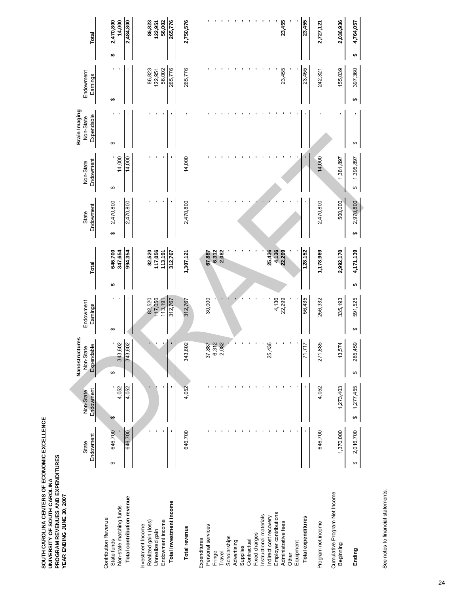|                                                  |                    |                        | Nanostructures           |                       |                         |                    |                        | Brain Imaging           |                       |                     |
|--------------------------------------------------|--------------------|------------------------|--------------------------|-----------------------|-------------------------|--------------------|------------------------|-------------------------|-----------------------|---------------------|
|                                                  | Endowment<br>State | Endowment<br>Non-State | Expendable<br>Non-State  | Endowment<br>Earnings | Total                   | Endowment<br>State | Endowment<br>Non-State | Expendable<br>Non-State | Endowment<br>Earnings | Total               |
|                                                  |                    |                        |                          |                       |                         |                    |                        |                         |                       |                     |
| <b>Contribution Revenue</b>                      | 646,700<br>↮       | $\Theta$               |                          |                       |                         | 2,470,800<br>မာ    | ↮                      | ↮                       | ↮                     | ↮                   |
| Non-state matching funds<br>State funds          |                    | 4,052                  | ٠<br>343,602<br>↮        | ↮                     | 646,700<br>347,654<br>↮ |                    | 14,000                 | $\blacksquare$<br>٠     |                       | 2,470,800<br>14,000 |
| Total contribution revenue                       | 646,700            | 4,052                  | 343,602                  |                       | 994,354                 | 2,470,800          | 14,000                 |                         |                       | 2,484,800           |
| Investment Income                                |                    |                        |                          |                       |                         |                    |                        |                         |                       |                     |
| Realized gain (loss)                             |                    |                        |                          | 82,520                | 82,520<br>117,056       |                    |                        | ٠                       | 86,823                | 86,823              |
| Endowment income<br>Unrealized gain              |                    |                        |                          | 117,056<br>113,191    | 113,191                 |                    |                        |                         | 56,002<br>122,951     | 56,002<br>122,951   |
| Total investment income                          |                    |                        |                          | 312,767               | 312,767                 |                    |                        | ٠                       | 265,776               | 265,776             |
|                                                  |                    |                        |                          |                       |                         |                    |                        |                         |                       |                     |
| Total revenue                                    | 646,700            | 4,052                  | 343,602                  | 312,767               | 1,307,121               | 2,470,800          | 14,000                 |                         | 265,776               | 2,750,576           |
| Expenditures                                     |                    |                        |                          |                       |                         |                    |                        |                         |                       |                     |
| Personal services<br>Fringe                      |                    |                        | 37,887<br>6,312<br>2,082 | 30,000                | 67,887                  |                    |                        |                         |                       |                     |
| Travel                                           |                    |                        |                          |                       | 6,312<br>2,082          |                    |                        |                         |                       |                     |
| Scholarships                                     |                    |                        |                          |                       |                         |                    |                        |                         |                       |                     |
| Advertising<br>Supplies                          |                    |                        |                          |                       |                         |                    |                        |                         |                       |                     |
| Contractual                                      |                    |                        |                          |                       |                         |                    |                        |                         |                       |                     |
| Fixed charges                                    |                    |                        |                          |                       |                         |                    |                        |                         |                       |                     |
| Instructional materials                          |                    |                        |                          |                       |                         |                    |                        |                         |                       |                     |
| Employer contributions<br>Indirect cost recovery |                    |                        | 36<br>25,4               |                       | 25,436<br>4,136         |                    |                        |                         |                       |                     |
| Administrative fees                              |                    |                        |                          | 4,136<br>22,299       | 22,299                  |                    |                        |                         | 23,455                | 23,455              |
| Other                                            |                    |                        |                          |                       |                         |                    |                        |                         |                       |                     |
| Equipment                                        |                    |                        |                          |                       |                         |                    |                        |                         |                       |                     |
| Total expenditures                               |                    |                        | ζĻ.<br>71,7              | 56,435                | 128,152                 |                    |                        |                         | 23,455                | 23,455              |
| Program net income                               | 646,700            | 4,052                  | 85<br>271,8              | 256,332               | 1,178,969               | 2,470,800          | 14,000                 |                         | 242,321               | 2,727,121           |
| Cumulative Program Net Income<br>Beginning       | 1,370,000          | 1,273,403              | 13,574                   | 335,193               | 2,992,170               | 500,000            | 1,381,897              |                         | 155,039               | 2,036,936           |
|                                                  |                    |                        |                          |                       |                         |                    |                        |                         |                       |                     |
| Ending                                           | 2,016,700<br>↮     | 1,277,455<br>↮         | $\ddot{5}$<br>285,4<br>↮ | 591,525<br>↮          | 4,171,139<br>↮          | 2,970,800<br>↮     | 1,395,897<br>↮         | ↮                       | 397,360<br>↮          | 4,764,057<br>↮      |
|                                                  |                    |                        |                          |                       |                         |                    |                        |                         |                       |                     |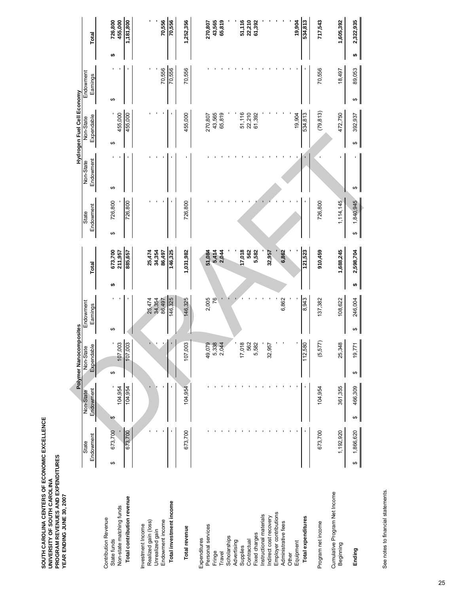|                                               |                |                       | Polymer Nanocomposites   |                  |                  |                |           | Hydrogen Fuel Cell Economy |             |                  |
|-----------------------------------------------|----------------|-----------------------|--------------------------|------------------|------------------|----------------|-----------|----------------------------|-------------|------------------|
|                                               | State          | Non-State             | Non-State                | Endowment        |                  | <b>State</b>   | Non-State | Non-State                  | Endowment   |                  |
|                                               | Endowment      | Endowment             | Expendable               | Earnings         | Total            | Endowment      | Endowment | Expendable                 | Earnings    | Total            |
| <b>Contribution Revenue</b><br>State funds    | 673,700<br>↮   | $\boldsymbol{\Theta}$ | ↮                        | ↮                | 673,700<br>↮     | 726,800<br>↮   | ↮         | ↮                          | ↮           | 726,800<br>↮     |
| Non-state matching funds                      |                | 104,954               | 107,003                  |                  | 211,957          |                |           | 455,000                    |             | 455,000          |
| Total contribution revenue                    | 673,700        | 104,954               | 003<br>107               |                  | 885,657          | 726,800        |           | 455,000                    |             | 1,181,800        |
| Investment Income                             |                |                       |                          |                  |                  |                |           |                            |             |                  |
| Realized gain (loss)<br>Unrealized gain       |                |                       |                          | 25,474<br>34,354 | 25,474<br>34,354 |                |           |                            |             | ٠                |
| Endowment income                              |                |                       |                          | 86,497           | 86,497           |                |           |                            | 70,556      | 70,556           |
| Total investment income                       |                |                       |                          | 146,325          | 146,325          |                |           |                            | 70,556      | 70,556           |
| Total revenue                                 | 673,700        | 104,954               | 107,003                  | 146,325          | 1,031,982        | 726,800        |           | 455,000                    | 70,556      | 1,252,356        |
| Personal services<br>Expenditures             |                |                       |                          | 2,005            | 51,084           |                |           | 270,807                    |             | 270,807          |
| Fringe                                        |                |                       | 49,079<br>5,338<br>2,044 | 76               | 5,414<br>2,044   |                |           | 43,565                     |             | 43,565           |
| Scholarships<br>Travel                        |                |                       |                          |                  |                  |                |           | 65,819                     |             | 65,819           |
| Advertising                                   |                |                       |                          |                  |                  |                |           |                            |             |                  |
| Supplies                                      |                |                       | 17,018                   |                  | 17,018           |                |           | 51,116                     |             | 51,116           |
| Fixed charges<br>Contractual                  |                |                       | 562<br>5,582             |                  | 5,582<br>562     |                |           | 22,210<br>61,392           |             | 22,210<br>61,392 |
| Instructional materials                       |                |                       |                          |                  |                  |                |           |                            |             |                  |
| Indirect cost recovery                        |                |                       | 32,957                   |                  | 32,957           |                |           |                            |             |                  |
| Employer contributions<br>Administrative fees |                |                       |                          | 6,862            | 6,862            |                |           |                            |             |                  |
| Other                                         |                |                       |                          |                  |                  |                |           |                            |             |                  |
| Equipment                                     |                |                       |                          |                  |                  |                |           | 19,904                     |             | 19,904           |
| Total expenditures                            |                |                       | 112,580                  | 8,943            | 121,523          |                |           | 534,813                    |             | 534,813          |
| Program net income                            | 673,700        | 104,954               | (5,577)                  | 137,382          | 910,459          | 726,800        |           | (79, 813)                  | 70,556      | 717,543          |
| Cumulative Program Net Income<br>Beginning    | 1,192,920      | 361,355               | 25,348                   | 108,622          | 1,688,245        | 1,114,145      |           | 472,750                    | 18,497      | 1,605,392        |
| Ending                                        | 1,866,620<br>↮ | 466,309<br>↮          | 171<br><u>19</u><br>↮    | 246,004<br>↮     | 2,598,704<br>↮   | 1,840,945<br>↮ | ↮         | 392,937<br>↮               | 89,053<br>↮ | 2,322,935<br>↮   |
|                                               |                |                       |                          |                  |                  |                |           |                            |             |                  |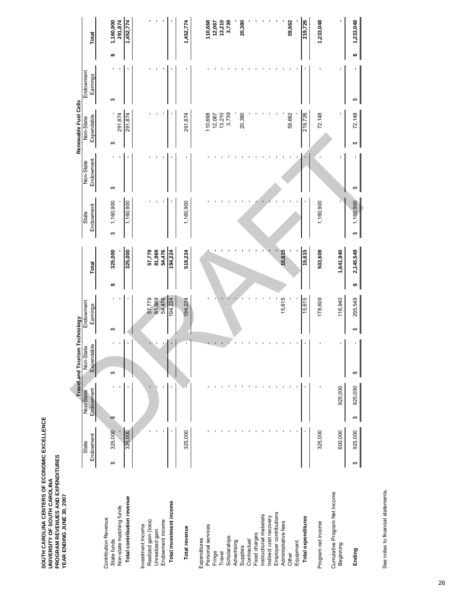|                                                  |                    |                        | Travel and Tourism Technology |                          |                  |                    |                        | Renewable Fuel Cells |           |   |                     |
|--------------------------------------------------|--------------------|------------------------|-------------------------------|--------------------------|------------------|--------------------|------------------------|----------------------|-----------|---|---------------------|
|                                                  | Endowment<br>State | Endowment<br>Non-State | Expendable<br>Non-State       | Endowment                | Total            | Endowment<br>State | Endowment<br>Non-State | Non-State            | Endowment |   | Total               |
|                                                  |                    |                        |                               | Earnings                 |                  |                    |                        | Expendable           | Earnings  |   |                     |
| <b>Contribution Revenue</b><br>State funds       | 325,000<br>↮       | ı<br>$\Theta$          | ı<br>↮                        | ٠<br>↮                   | 325,000<br>₩,    | 1,160,900<br>↮     | ٠<br>↮                 | ↮                    | ٠<br>↮    | ↮ | 1,160,900           |
| Non-state matching funds                         |                    | $\blacksquare$         | $\blacksquare$                | $\overline{\phantom{a}}$ |                  |                    | $\mathbf{I}$           | 291,874              |           |   | 291,874             |
| Total contribution revenue                       | 325,000            |                        |                               |                          | 325,000          | 1,160,900          |                        | 291,874              |           |   | 1,452,774           |
| Investment Income                                |                    |                        |                               |                          |                  |                    |                        |                      |           |   |                     |
| Realized gain (loss)<br>Unrealized gain          |                    |                        |                               | 57,779<br>81,969         | 57,779<br>81,969 |                    | ٠                      |                      |           |   | ٠                   |
| Endowment income                                 |                    | $\mathbf{I}$           |                               | 54,476                   | 54,476           |                    |                        |                      |           |   | ٠                   |
| Total investment income                          |                    | $\blacksquare$         |                               | 194,224                  | 194,224          |                    | ٠                      |                      |           |   | ı                   |
| Total revenue                                    | 325,000            |                        |                               | 194,224                  | 519,224          | 1,160,900          |                        | 291,874              |           |   | 1,452,774           |
| Personal services<br>Expenditures                |                    |                        |                               |                          |                  |                    |                        | 110,668              |           |   | 110,668             |
| Fringe                                           |                    |                        |                               |                          |                  |                    |                        | 12,067<br>13,210     |           |   | 12,067              |
| Scholarships<br>Travel                           |                    |                        |                               |                          |                  |                    |                        | 3,739                |           |   | $13,210$<br>$3,739$ |
| Advertising                                      |                    |                        |                               |                          |                  |                    |                        |                      |           |   |                     |
| Contractual<br>Supplies                          |                    |                        |                               |                          |                  |                    |                        | 20,380               |           |   | 20,380              |
| Fixed charges                                    |                    |                        |                               |                          |                  |                    |                        |                      |           |   |                     |
| Instructional materials                          |                    |                        |                               |                          |                  |                    |                        |                      |           |   |                     |
| Employer contributions<br>Indirect cost recovery |                    |                        |                               |                          |                  |                    |                        |                      |           |   |                     |
| Administrative fees                              |                    |                        |                               | 15,615                   | 15,615           |                    |                        |                      |           |   |                     |
| Equipment<br>Other                               |                    |                        |                               |                          |                  |                    |                        | 59,662               |           |   | 59,662              |
| Total expenditures                               |                    |                        |                               | 15,615                   | 15,615           |                    |                        | 219,726              |           |   | 219,726             |
| Program net income                               | 325,000            | ı                      |                               | 178,609                  | 503,609          | 1,160,900          |                        | 72,148               |           |   | 1,233,048           |
| Cumulative Program Net Income<br>Beginning       | 600,000            | 925,000                |                               | 116,940                  | 1,641,940        |                    |                        |                      |           |   | ٠                   |
| Ending                                           | 925,000<br>↮       | 925,000<br>↮           | ↮                             | 295,549<br>↮             | 2,145,549<br>↮   | 1,160,900<br>↮     | ↮                      | 72,148<br>↮          | ↮         | ↮ | 1,233,048           |
|                                                  |                    |                        |                               |                          |                  |                    |                        |                      |           |   |                     |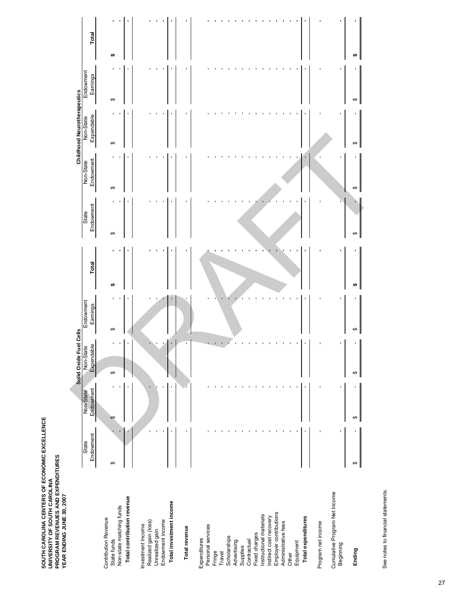|                                               |                                  |                                 | <b>Fuel Cells</b><br>Solid Oxide |                          |                     |                        |                             | <b>Childhood Neurotherapeutics</b> |                       |             |
|-----------------------------------------------|----------------------------------|---------------------------------|----------------------------------|--------------------------|---------------------|------------------------|-----------------------------|------------------------------------|-----------------------|-------------|
|                                               | Endowment<br>State               | Endowment<br>Non-State          | Expendable<br>Non-State          | Endowment<br>Earnings    | Total               | Endowment<br>State     | Endowment<br>Non-State      | Expendable<br>Non-State            | Endowment<br>Earnings | Total       |
|                                               |                                  |                                 |                                  |                          |                     |                        |                             |                                    |                       |             |
| <b>Contribution Revenue</b>                   |                                  |                                 |                                  |                          |                     |                        |                             |                                    |                       |             |
| Non-state matching funds<br>State funds       | ↮                                | $\blacksquare$<br>ı<br>$\Theta$ | ٠<br>↮                           | $\blacksquare$<br>ı<br>↮ | $\blacksquare$<br>↮ | ٠<br>$\mathbf{I}$<br>↮ | ٠<br>$\boldsymbol{\varphi}$ | ↮                                  | $\blacksquare$<br>↮   | ×<br>ı<br>↮ |
| Total contribution revenue                    |                                  |                                 |                                  |                          |                     |                        |                             |                                    |                       |             |
|                                               |                                  |                                 |                                  |                          |                     |                        |                             |                                    |                       |             |
| Investment Income                             |                                  |                                 |                                  |                          |                     |                        |                             |                                    |                       |             |
| Realized gain (loss)                          | ٠                                | $\blacksquare$                  |                                  |                          |                     |                        |                             |                                    |                       |             |
| Endowment income<br>Unrealized gain           | $\blacksquare$<br>$\blacksquare$ | $\blacksquare$                  |                                  |                          |                     | ٠                      |                             |                                    |                       |             |
| Total investment income                       | $\blacksquare$                   | $\blacksquare$                  |                                  |                          |                     |                        |                             |                                    |                       |             |
| Total revenue                                 | $\mathbf{I}$                     |                                 |                                  |                          |                     | ٠                      |                             | ٠                                  | ٠                     |             |
| Expenditures                                  |                                  |                                 |                                  |                          |                     |                        |                             |                                    |                       |             |
| Personal services                             |                                  |                                 |                                  |                          |                     |                        |                             |                                    |                       |             |
| Fringe                                        |                                  |                                 |                                  |                          |                     |                        |                             |                                    |                       |             |
| Travel                                        |                                  |                                 |                                  |                          |                     |                        |                             |                                    |                       |             |
| Scholarships                                  |                                  |                                 |                                  |                          |                     |                        |                             |                                    |                       |             |
| Advertising                                   |                                  |                                 |                                  |                          |                     |                        |                             |                                    |                       |             |
| Supplies                                      |                                  |                                 |                                  |                          |                     |                        |                             |                                    |                       |             |
| Contractual                                   |                                  |                                 |                                  |                          |                     |                        |                             |                                    |                       |             |
| Fixed charges                                 |                                  |                                 |                                  |                          |                     |                        |                             |                                    |                       |             |
| Instructional materials                       |                                  |                                 |                                  |                          |                     |                        |                             |                                    |                       |             |
| Indirect cost recovery                        |                                  |                                 |                                  |                          |                     |                        |                             |                                    |                       |             |
| Employer contributions<br>Administrative fees |                                  |                                 |                                  |                          |                     |                        |                             |                                    |                       |             |
| Other                                         |                                  |                                 |                                  |                          |                     |                        |                             |                                    |                       |             |
| Equipment                                     |                                  |                                 |                                  |                          |                     |                        |                             |                                    |                       |             |
| Total expenditures                            |                                  |                                 |                                  |                          |                     |                        |                             |                                    |                       |             |
|                                               |                                  |                                 |                                  |                          |                     |                        |                             |                                    |                       |             |
| Program net income                            |                                  |                                 |                                  |                          |                     | r                      |                             |                                    |                       |             |
| Cumulative Program Net Income                 |                                  |                                 |                                  |                          |                     |                        |                             |                                    |                       |             |
| Beginning                                     | ï                                |                                 |                                  |                          |                     |                        |                             |                                    |                       |             |
| Ending                                        | ↮                                | ↮                               | ↮                                | ↮                        | ₩                   | ↮                      | ↮                           | ↮                                  | ↮                     | ↮           |
|                                               |                                  |                                 |                                  |                          |                     |                        |                             |                                    |                       |             |
|                                               |                                  |                                 |                                  |                          |                     |                        |                             |                                    |                       |             |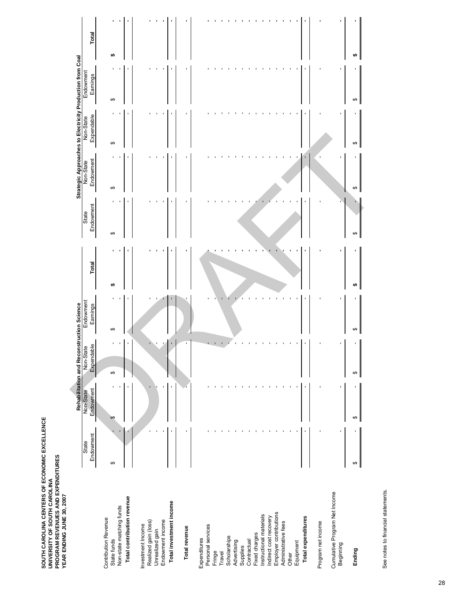|                                           |                    |                        | Rehabilitation and Reconstruction Science |                       |                |                    | Strategic Approaches to Electricity Production from Coal |                         |                       |                |
|-------------------------------------------|--------------------|------------------------|-------------------------------------------|-----------------------|----------------|--------------------|----------------------------------------------------------|-------------------------|-----------------------|----------------|
|                                           | Endowment<br>State | Endowment<br>Non-State | Expendable<br>Non-State                   | Endowment<br>Earnings | Total          | Endowment<br>State | Endowment<br>Non-State                                   | Expendable<br>Non-State | Endowment<br>Earnings | Total          |
|                                           |                    |                        |                                           |                       |                |                    |                                                          |                         |                       |                |
| <b>Contribution Revenue</b>               |                    |                        |                                           |                       |                |                    |                                                          |                         |                       |                |
| State funds                               | ↮                  | ı<br>$\Theta$          | ٠<br>↮                                    | ↮                     | ↮              | ٠<br>↮             | ٠<br>↮                                                   | ٠<br>↮                  | ٠<br>↮                | ↮              |
| Non-state matching funds                  |                    | $\mathbf I$            | $\blacksquare$                            | $\blacksquare$        | $\blacksquare$ | $\mathbf I$        | $\mathbf{I}$                                             |                         | ٠                     | $\blacksquare$ |
| Total contribution revenue                |                    | $\mathbf{I}$           |                                           | $\blacksquare$        | $\blacksquare$ |                    | $\mathbf{I}$                                             |                         |                       | $\blacksquare$ |
|                                           |                    |                        |                                           |                       |                |                    |                                                          |                         |                       |                |
| Realized gain (loss)<br>Investment Income | ٠                  | $\blacksquare$         |                                           |                       |                |                    |                                                          |                         | ٠                     |                |
| Unrealized gain                           | $\blacksquare$     |                        |                                           |                       |                |                    | ٠                                                        |                         | ٠                     |                |
| Endowment income                          | $\blacksquare$     | $\blacksquare$         |                                           |                       |                |                    |                                                          |                         |                       |                |
| Total investment income                   | $\blacksquare$     | $\blacksquare$         |                                           |                       |                | ٠                  | $\blacksquare$                                           |                         |                       |                |
| Total revenue                             | $\mathbf{I}$       |                        |                                           |                       |                |                    | $\mathbf{I}$                                             |                         | ٠                     |                |
|                                           |                    |                        |                                           |                       |                |                    |                                                          |                         |                       |                |
| Personal services<br>Expenditures         |                    |                        |                                           |                       |                |                    |                                                          |                         |                       |                |
| Fringe                                    |                    |                        |                                           |                       |                |                    |                                                          |                         |                       |                |
| Travel                                    |                    |                        |                                           |                       |                |                    |                                                          |                         |                       |                |
| Scholarships                              | ٠                  |                        |                                           |                       |                |                    |                                                          |                         |                       |                |
| Advertising                               |                    |                        |                                           |                       |                |                    |                                                          |                         |                       |                |
| Supplies                                  |                    |                        |                                           |                       |                |                    |                                                          |                         |                       |                |
| Contractual                               |                    |                        |                                           |                       |                |                    |                                                          |                         |                       |                |
| Fixed charges                             |                    |                        |                                           |                       |                |                    |                                                          |                         |                       |                |
| Instructional materials                   |                    |                        |                                           |                       |                |                    |                                                          |                         |                       |                |
| Indirect cost recovery                    |                    |                        |                                           |                       |                |                    |                                                          |                         |                       |                |
| Employer contributions                    |                    |                        |                                           |                       |                |                    |                                                          |                         |                       |                |
| Administrative fees<br>Other              | ۱                  |                        |                                           |                       |                |                    |                                                          |                         |                       |                |
| Equipment                                 | ï                  |                        |                                           |                       |                |                    |                                                          |                         |                       |                |
| Total expenditures                        | ï                  | ï                      |                                           | ï                     |                |                    |                                                          |                         |                       |                |
|                                           |                    |                        |                                           |                       |                |                    |                                                          |                         |                       |                |
| Program net income                        | ı                  | J.                     |                                           |                       |                | t                  | $\mathbf{I}$                                             |                         | ٠                     |                |
| Cumulative Program Net Income             |                    |                        |                                           |                       |                |                    |                                                          |                         |                       |                |
| Beginning                                 | ٠                  | ٠                      |                                           |                       |                |                    |                                                          |                         |                       |                |
| Ending                                    | ↮                  | ↮                      | ↮                                         | မာ                    | မာ             | ↮                  | ↮                                                        | ↮                       | ↮                     | ŧA             |
|                                           |                    |                        |                                           |                       |                |                    |                                                          |                         |                       |                |
|                                           |                    |                        |                                           |                       |                |                    |                                                          |                         |                       |                |
|                                           |                    |                        |                                           |                       |                |                    |                                                          |                         |                       |                |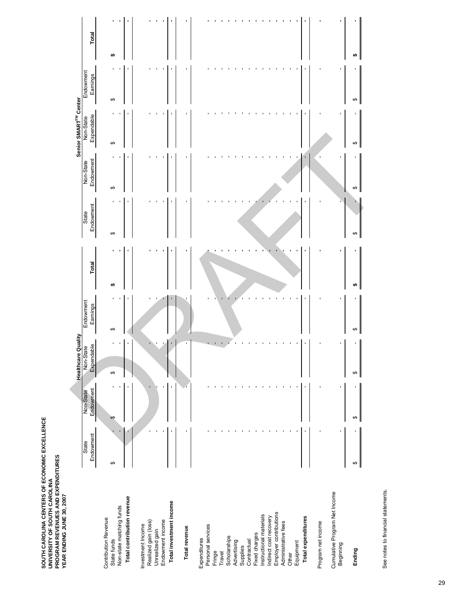|                                               |                    |                        | Healthcare Quality<br>Non-State |                       |                |                    |                        | Senior SMART <sup>TM</sup> Center |                       |                     |
|-----------------------------------------------|--------------------|------------------------|---------------------------------|-----------------------|----------------|--------------------|------------------------|-----------------------------------|-----------------------|---------------------|
|                                               | Endowment<br>State | Endowment<br>Non-State | Expendable                      | Endowment<br>Earnings | Total          | Endowment<br>State | Endowment<br>Non-State | Expendable<br>Non-State           | Endowment<br>Earnings | Total               |
| <b>Contribution Revenue</b>                   |                    |                        |                                 |                       |                |                    |                        |                                   |                       |                     |
| State funds                                   | ↮                  | $\Theta$               | ٠<br>↮                          | ı<br>↮                | ı<br>₩         | ٠<br>↮             | ↮                      | ٠<br>↮                            | ٠<br>↮                | $\blacksquare$<br>↮ |
| Non-state matching funds                      |                    |                        |                                 | $\mathbf{I}$          | $\blacksquare$ | ٠                  |                        | ٠                                 | $\mathbf{I}$          | $\blacksquare$      |
| Total contribution revenue                    |                    |                        |                                 |                       | $\blacksquare$ |                    |                        |                                   | $\blacksquare$        |                     |
| Investment Income                             |                    |                        |                                 |                       |                |                    |                        |                                   |                       |                     |
| Realized gain (loss)                          |                    |                        |                                 |                       |                | ٠                  |                        |                                   |                       |                     |
| Unrealized gain                               | $\blacksquare$     |                        |                                 |                       |                | ٠                  |                        |                                   |                       |                     |
| Endowment income                              | $\mathbf{I}$       | T.                     |                                 |                       |                |                    |                        |                                   |                       |                     |
| Total investment income                       | J,                 | $\mathbf{I}$           |                                 |                       |                |                    |                        |                                   |                       |                     |
| Total revenue                                 |                    |                        |                                 |                       |                | ٠                  |                        | ٠                                 | $\mathbf{I}$          |                     |
| Expenditures                                  |                    |                        |                                 |                       |                |                    |                        |                                   |                       |                     |
| Personal services                             |                    |                        |                                 |                       |                |                    |                        |                                   |                       |                     |
| Fringe                                        |                    |                        |                                 |                       |                |                    |                        |                                   |                       |                     |
| Travel                                        |                    |                        |                                 |                       |                |                    |                        |                                   |                       |                     |
| Scholarships                                  |                    |                        |                                 |                       |                |                    |                        |                                   |                       |                     |
| Advertising                                   |                    |                        |                                 |                       |                |                    |                        |                                   |                       |                     |
| Supplies                                      |                    |                        |                                 |                       |                |                    |                        |                                   |                       |                     |
| Contractual                                   |                    |                        |                                 |                       |                |                    |                        |                                   |                       |                     |
| Fixed charges                                 |                    |                        |                                 |                       |                |                    |                        |                                   |                       |                     |
| Instructional materials                       |                    |                        |                                 |                       |                |                    |                        |                                   |                       |                     |
| Indirect cost recovery                        |                    |                        |                                 |                       |                |                    |                        |                                   |                       |                     |
| Employer contributions<br>Administrative fees |                    |                        |                                 |                       |                |                    |                        |                                   |                       |                     |
| Other                                         |                    |                        |                                 |                       |                |                    |                        |                                   |                       |                     |
| Equipment                                     |                    |                        |                                 |                       |                |                    |                        |                                   |                       |                     |
| Total expenditures                            |                    |                        |                                 |                       |                |                    |                        |                                   |                       |                     |
|                                               |                    |                        |                                 |                       |                |                    |                        |                                   |                       |                     |
| Program net income                            |                    |                        |                                 |                       |                |                    |                        | ٠                                 | ٠                     |                     |
| Cumulative Program Net Income                 |                    |                        |                                 |                       |                |                    |                        |                                   |                       |                     |
| Beginning                                     |                    |                        |                                 |                       |                |                    |                        |                                   |                       |                     |
| Ending                                        | ↮                  | ↮                      | ↮                               | ↮                     | မာ             | ↮                  | ↮                      | ٠<br>↮                            | ٠<br>↮                | €A                  |
|                                               |                    |                        |                                 |                       |                |                    |                        |                                   |                       |                     |
|                                               |                    |                        |                                 |                       |                |                    |                        |                                   |                       |                     |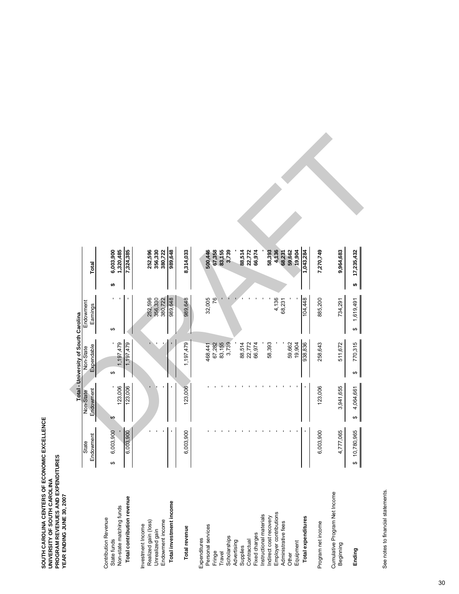|                                             | Total                   | 6,003,900<br>↔                      | 1,320,485                | 7,324,385                  | 252,596                                  | 356,330         | 380,722          | 89,648                  | 8,314,033     |              | 500,446           | 67,358 | 83,155          | 3,739        |             | 88,514   | 22,772      | 66,974        |                         | 58,393                 | 4,136                  | 68,231              | 59,662 | 19,904    | 1,043,284          | 7,270,749          | 9,964,683                                  | 17,235,432<br>↮ |  |
|---------------------------------------------|-------------------------|-------------------------------------|--------------------------|----------------------------|------------------------------------------|-----------------|------------------|-------------------------|---------------|--------------|-------------------|--------|-----------------|--------------|-------------|----------|-------------|---------------|-------------------------|------------------------|------------------------|---------------------|--------|-----------|--------------------|--------------------|--------------------------------------------|-----------------|--|
|                                             | Endowment<br>Earnings   | ↮                                   | $\blacksquare$           |                            | 252,596                                  | 356,330         | 380,722          | 89,648                  | 989,648       |              | 32,005            | 76     |                 |              |             |          |             |               |                         |                        | 4,136<br>68,231        |                     |        |           | 104,448            | 885,200            | 734,291                                    | 1,619,491<br>↮  |  |
| <b>Total - University of South Carolina</b> | Expendable<br>Non-State | ↮                                   | 1,197,479                | 1,197,479                  |                                          |                 |                  |                         | 1,197,479     |              | 468,441           | 67,282 | 83,155<br>3,739 |              |             | 88,514   | 22,772      | 66,974        |                         | 58,393                 |                        |                     | 59,662 | 19,904    | 938,836            | 258,643            | 511,672                                    | 770,315<br>↮    |  |
|                                             | Endowment<br>Non-State  | $\Theta$                            | 123,006                  | 123,006                    |                                          |                 |                  |                         | 123,006       |              |                   |        |                 |              |             |          |             |               |                         |                        |                        |                     |        |           |                    | 123,006            | 3,941,655                                  | 4,064,661<br>↮  |  |
|                                             | Endowment<br>State      | 6,003,900<br>↮                      |                          | 6,003,900                  |                                          | ı               | ٠                |                         | 6,003,900     |              |                   |        |                 |              |             |          |             |               |                         |                        |                        |                     |        |           |                    | 6,003,900          | 4,777,065                                  | 10,780,965<br>↔ |  |
|                                             |                         | Contribution Revenue<br>State funds | Non-state matching funds | Total contribution revenue | Realized gain (loss)<br>nvestment Income | Unrealized gain | Endowment income | Total investment income | Total revenue | Expenditures | Personal services | Fringe | Travel          | Scholarships | Advertising | Supplies | Contractual | Fixed charges | Instructional materials | Indirect cost recovery | Employer contributions | Administrative fees | Other  | Equipment | Total expenditures | Program net income | Cumulative Program Net Income<br>Beginning | Ending          |  |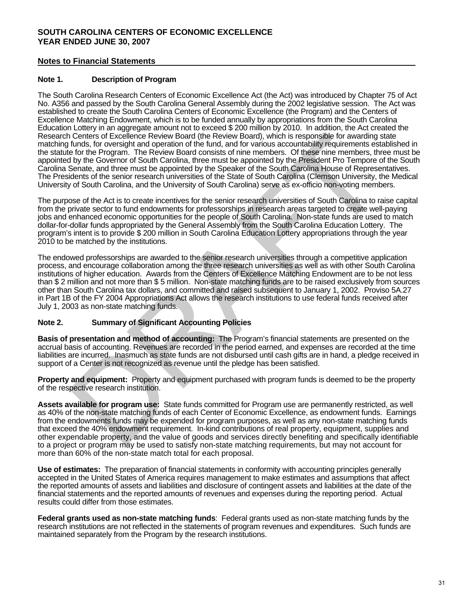#### **SOUTH CAROLINA CENTERS OF ECONOMIC EXCELLENCE YEAR ENDED JUNE 30, 2007**

#### **Notes to Financial Statements**

#### **Note 1. Description of Program**

The South Carolina Research Centers of Economic Excellence Act (the Act) was introduced by Chapter 75 of Act No. A356 and passed by the South Carolina General Assembly during the 2002 legislative session. The Act was established to create the South Carolina Centers of Economic Excellence (the Program) and the Centers of Excellence Matching Endowment, which is to be funded annually by appropriations from the South Carolina Education Lottery in an aggregate amount not to exceed \$200 million by 2010. In addition, the Act created the Research Centers of Excellence Review Board (the Review Board), which is responsible for awarding state matching funds, for oversight and operation of the fund, and for various accountability requirements established in the statute for the Program. The Review Board consists of nine members. Of these nine members, three must be appointed by the Governor of South Carolina, three must be appointed by the President Pro Tempore of the South Carolina Senate, and three must be appointed by the Speaker of the South Carolina House of Representatives. The Presidents of the senior research universities of the State of South Carolina (Clemson University, the Medical University of South Carolina, and the University of South Carolina) serve as ex-officio non-voting members.

The purpose of the Act is to create incentives for the senior research universities of South Carolina to raise capital from the private sector to fund endowments for professorships in research areas targeted to create well-paying jobs and enhanced economic opportunities for the people of South Carolina. Non-state funds are used to match dollar-for-dollar funds appropriated by the General Assembly from the South Carolina Education Lottery. The program's intent is to provide \$ 200 million in South Carolina Education Lottery appropriations through the year 2010 to be matched by the institutions.

The endowed professorships are awarded to the senior research universities through a competitive application process, and encourage collaboration among the three research universities as well as with other South Carolina institutions of higher education. Awards from the Centers of Excellence Matching Endowment are to be not less than \$ 2 million and not more than \$ 5 million. Non-state matching funds are to be raised exclusively from sources other than South Carolina tax dollars, and committed and raised subsequent to January 1, 2002. Proviso 5A.27 in Part 1B of the FY 2004 Appropriations Act allows the research institutions to use federal funds received after July 1, 2003 as non-state matching funds. Centers of Excellence Review Board (the Review Board), which is responsible for awarding<br>Centers of Excellence Review Board (the Review Board), which is responsed to the fund, and to review and one fund<br>state for the Progr

#### **Note 2. Summary of Significant Accounting Policies**

**Basis of presentation and method of accounting:** The Program's financial statements are presented on the accrual basis of accounting. Revenues are recorded in the period earned, and expenses are recorded at the time liabilities are incurred. Inasmuch as state funds are not disbursed until cash gifts are in hand, a pledge received in support of a Center is not recognized as revenue until the pledge has been satisfied.

**Property and equipment:** Property and equipment purchased with program funds is deemed to be the property of the respective research institution.

**Assets available for program use:** State funds committed for Program use are permanently restricted, as well as 40% of the non-state matching funds of each Center of Economic Excellence, as endowment funds. Earnings from the endowments funds may be expended for program purposes, as well as any non-state matching funds that exceed the 40% endowment requirement. In-kind contributions of real property, equipment, supplies and other expendable property, and the value of goods and services directly benefiting and specifically identifiable to a project or program may be used to satisfy non-state matching requirements, but may not account for more than 60% of the non-state match total for each proposal.

**Use of estimates:** The preparation of financial statements in conformity with accounting principles generally accepted in the United States of America requires management to make estimates and assumptions that affect the reported amounts of assets and liabilities and disclosure of contingent assets and liabilities at the date of the financial statements and the reported amounts of revenues and expenses during the reporting period. Actual results could differ from those estimates.

**Federal grants used as non-state matching funds**: Federal grants used as non-state matching funds by the research institutions are not reflected in the statements of program revenues and expenditures. Such funds are maintained separately from the Program by the research institutions.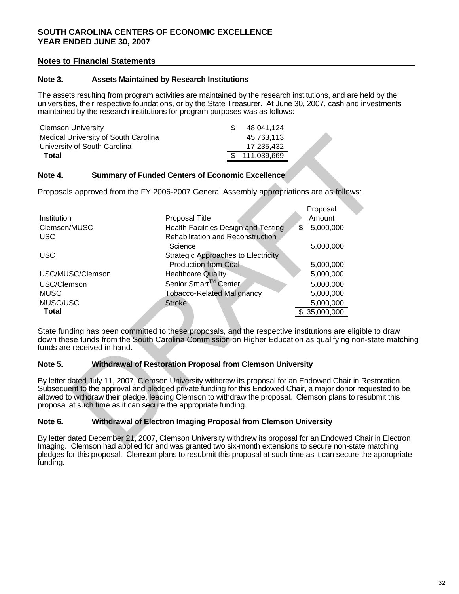#### **SOUTH CAROLINA CENTERS OF ECONOMIC EXCELLENCE YEAR ENDED JUNE 30, 2007**

#### **Notes to Financial Statements**

#### **Note 3. Assets Maintained by Research Institutions**

The assets resulting from program activities are maintained by the research institutions, and are held by the universities, their respective foundations, or by the State Treasurer. At June 30, 2007, cash and investments maintained by the research institutions for program purposes was as follows:

| <b>Clemson University</b>            | 48.041.124  |
|--------------------------------------|-------------|
| Medical University of South Carolina | 45.763.113  |
| University of South Carolina         | 17,235,432  |
| Total                                | 111.039.669 |

#### **Note 4. Summary of Funded Centers of Economic Excellence**

| <b>Total</b>     | Medical University of South Carolina<br>University of South Carolina | 45,763,113<br>17,235,432<br>111,039,669<br>\$                                                                                                                                                                                                                                                                                                                                            |                  |
|------------------|----------------------------------------------------------------------|------------------------------------------------------------------------------------------------------------------------------------------------------------------------------------------------------------------------------------------------------------------------------------------------------------------------------------------------------------------------------------------|------------------|
| Note 4.          |                                                                      | <b>Summary of Funded Centers of Economic Excellence</b>                                                                                                                                                                                                                                                                                                                                  |                  |
|                  |                                                                      | Proposals approved from the FY 2006-2007 General Assembly appropriations are as follows:                                                                                                                                                                                                                                                                                                 |                  |
|                  |                                                                      |                                                                                                                                                                                                                                                                                                                                                                                          | Proposal         |
| Institution      |                                                                      | Proposal Title                                                                                                                                                                                                                                                                                                                                                                           | Amount           |
| Clemson/MUSC     |                                                                      | Health Facilities Design and Testing                                                                                                                                                                                                                                                                                                                                                     | \$.<br>5,000,000 |
| <b>USC</b>       |                                                                      | <b>Rehabilitation and Reconstruction</b>                                                                                                                                                                                                                                                                                                                                                 |                  |
|                  |                                                                      | Science                                                                                                                                                                                                                                                                                                                                                                                  | 5,000,000        |
| <b>USC</b>       |                                                                      | <b>Strategic Approaches to Electricity</b>                                                                                                                                                                                                                                                                                                                                               |                  |
|                  |                                                                      | <b>Production from Coal</b>                                                                                                                                                                                                                                                                                                                                                              | 5,000,000        |
| USC/MUSC/Clemson |                                                                      | <b>Healthcare Quality</b>                                                                                                                                                                                                                                                                                                                                                                | 5,000,000        |
| USC/Clemson      |                                                                      | Senior Smart <sup>™</sup> Center                                                                                                                                                                                                                                                                                                                                                         | 5,000,000        |
| <b>MUSC</b>      |                                                                      | <b>Tobacco-Related Malignancy</b>                                                                                                                                                                                                                                                                                                                                                        | 5,000,000        |
| MUSC/USC         |                                                                      | <b>Stroke</b>                                                                                                                                                                                                                                                                                                                                                                            | 5,000,000        |
| <b>Total</b>     |                                                                      |                                                                                                                                                                                                                                                                                                                                                                                          | \$35,000,000     |
|                  | funds are received in hand.                                          | State funding has been committed to these proposals, and the respective institutions are eligible to<br>down these funds from the South Carolina Commission on Higher Education as qualifying non-state                                                                                                                                                                                  |                  |
| Note 5.          |                                                                      | Withdrawal of Restoration Proposal from Clemson University                                                                                                                                                                                                                                                                                                                               |                  |
|                  |                                                                      | By letter dated July 11, 2007, Clemson University withdrew its proposal for an Endowed Chair in Restor<br>Subsequent to the approval and pledged private funding for this Endowed Chair, a major donor request<br>allowed to withdraw their pledge, leading Clemson to withdraw the proposal. Clemson plans to resubm<br>proposal at such time as it can secure the appropriate funding. |                  |
| Note 6.          |                                                                      | Withdrawal of Electron Imaging Proposal from Clemson University                                                                                                                                                                                                                                                                                                                          |                  |
|                  |                                                                      | By letter dated December 21, 2007, Clemson University withdrew its proposal for an Endowed Chair in<br>Impaing. Clamson had applied for and was grapted two six month extensions to sequre pap state moto                                                                                                                                                                                |                  |

State funding has been committed to these proposals, and the respective institutions are eligible to draw down these funds from the South Carolina Commission on Higher Education as qualifying non-state matching funds are received in hand.

#### **Note 5. Withdrawal of Restoration Proposal from Clemson University**

By letter dated July 11, 2007, Clemson University withdrew its proposal for an Endowed Chair in Restoration. Subsequent to the approval and pledged private funding for this Endowed Chair, a major donor requested to be allowed to withdraw their pledge, leading Clemson to withdraw the proposal. Clemson plans to resubmit this proposal at such time as it can secure the appropriate funding.

#### **Note 6. Withdrawal of Electron Imaging Proposal from Clemson University**

By letter dated December 21, 2007, Clemson University withdrew its proposal for an Endowed Chair in Electron Imaging. Clemson had applied for and was granted two six-month extensions to secure non-state matching pledges for this proposal. Clemson plans to resubmit this proposal at such time as it can secure the appropriate funding.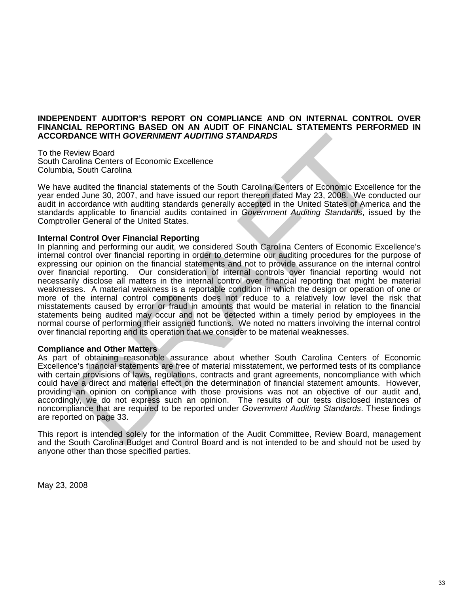#### **INDEPENDENT AUDITOR'S REPORT ON COMPLIANCE AND ON INTERNAL CONTROL OVER FINANCIAL REPORTING BASED ON AN AUDIT OF FINANCIAL STATEMENTS PERFORMED IN ACCORDANCE WITH** *GOVERNMENT AUDITING STANDARDS*

To the Review Board South Carolina Centers of Economic Excellence Columbia, South Carolina

We have audited the financial statements of the South Carolina Centers of Economic Excellence for the year ended June 30, 2007, and have issued our report thereon dated May 23, 2008. We conducted our audit in accordance with auditing standards generally accepted in the United States of America and the standards applicable to financial audits contained in *Government Auditing Standards*, issued by the Comptroller General of the United States.

#### **Internal Control Over Financial Reporting**

In planning and performing our audit, we considered South Carolina Centers of Economic Excellence's internal control over financial reporting in order to determine our auditing procedures for the purpose of expressing our opinion on the financial statements and not to provide assurance on the internal control over financial reporting. Our consideration of internal controls over financial reporting would not necessarily disclose all matters in the internal control over financial reporting that might be material weaknesses. A material weakness is a reportable condition in which the design or operation of one or more of the internal control components does not reduce to a relatively low level the risk that misstatements caused by error or fraud in amounts that would be material in relation to the financial statements being audited may occur and not be detected within a timely period by employees in the normal course of performing their assigned functions. We noted no matters involving the internal control over financial reporting and its operation that we consider to be material weaknesses. DANCE WITH GOVERNMENT AUDITING STANDARDS<br>eview Board<br>archina Centers of Economic Excellence<br>archina Centers of Economic Excellence<br>archina Centers of Economic Excellence<br>archina Centers of Economic Excellence<br>accordance wi

#### **Compliance and Other Matters**

As part of obtaining reasonable assurance about whether South Carolina Centers of Economic Excellence's financial statements are free of material misstatement, we performed tests of its compliance with certain provisions of laws, regulations, contracts and grant agreements, noncompliance with which could have a direct and material effect on the determination of financial statement amounts. However, providing an opinion on compliance with those provisions was not an objective of our audit and, accordingly, we do not express such an opinion. The results of our tests disclosed instances of noncompliance that are required to be reported under *Government Auditing Standards*. These findings are reported on page 33.

This report is intended solely for the information of the Audit Committee, Review Board, management and the South Carolina Budget and Control Board and is not intended to be and should not be used by anyone other than those specified parties.

May 23, 2008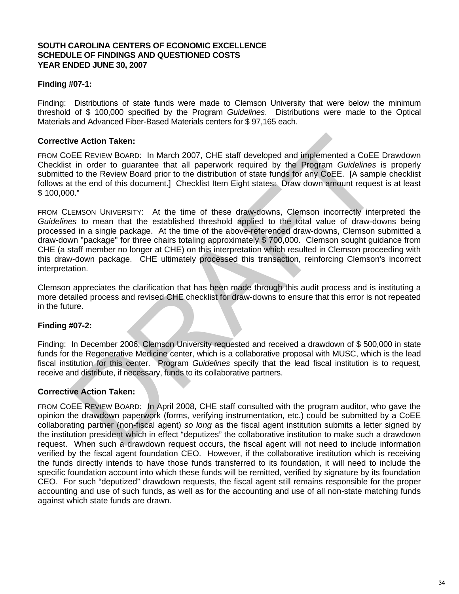#### **Finding #07-1:**

Finding: Distributions of state funds were made to Clemson University that were below the minimum threshold of \$ 100,000 specified by the Program *Guidelines*. Distributions were made to the Optical Materials and Advanced Fiber-Based Materials centers for \$ 97,165 each.

#### **Corrective Action Taken:**

FROM COEE REVIEW BOARD: In March 2007, CHE staff developed and implemented a CoEE Drawdown Checklist in order to guarantee that all paperwork required by the Program *Guidelines* is properly submitted to the Review Board prior to the distribution of state funds for any CoEE. [A sample checklist follows at the end of this document.] Checklist Item Eight states: Draw down amount request is at least \$ 100,000."

FROM CLEMSON UNIVERSITY: At the time of these draw-downs, Clemson incorrectly interpreted the *Guidelines* to mean that the established threshold applied to the total value of draw-downs being processed in a single package. At the time of the above-referenced draw-downs, Clemson submitted a draw-down "package" for three chairs totaling approximately \$ 700,000. Clemson sought guidance from CHE (a staff member no longer at CHE) on this interpretation which resulted in Clemson proceeding with this draw-down package. CHE ultimately processed this transaction, reinforcing Clemson's incorrect interpretation. **EXERCT STATE TO TAKE THE MATE AND THE STATE INTO THE STATE IN THE UNIT WE ARE THE WEIGHT WE WE UNDER THE WINDOW THE UNIT WEIGHT WARD DRAFT UNIT AND THE UNIT ON THE STATE REVIEW BOAT ON THE RESOLUTION OF STATE THE ARE STAT** 

Clemson appreciates the clarification that has been made through this audit process and is instituting a more detailed process and revised CHE checklist for draw-downs to ensure that this error is not repeated in the future.

#### **Finding #07-2:**

Finding: In December 2006, Clemson University requested and received a drawdown of \$ 500,000 in state funds for the Regenerative Medicine center, which is a collaborative proposal with MUSC, which is the lead fiscal institution for this center. Program *Guidelines* specify that the lead fiscal institution is to request, receive and distribute, if necessary, funds to its collaborative partners.

#### **Corrective Action Taken:**

FROM COEE REVIEW BOARD: In April 2008, CHE staff consulted with the program auditor, who gave the opinion the drawdown paperwork (forms, verifying instrumentation, etc.) could be submitted by a CoEE collaborating partner (non-fiscal agent) *so long* as the fiscal agent institution submits a letter signed by the institution president which in effect "deputizes" the collaborative institution to make such a drawdown request. When such a drawdown request occurs, the fiscal agent will not need to include information verified by the fiscal agent foundation CEO. However, if the collaborative institution which is receiving the funds directly intends to have those funds transferred to its foundation, it will need to include the specific foundation account into which these funds will be remitted, verified by signature by its foundation CEO. For such "deputized" drawdown requests, the fiscal agent still remains responsible for the proper accounting and use of such funds, as well as for the accounting and use of all non-state matching funds against which state funds are drawn.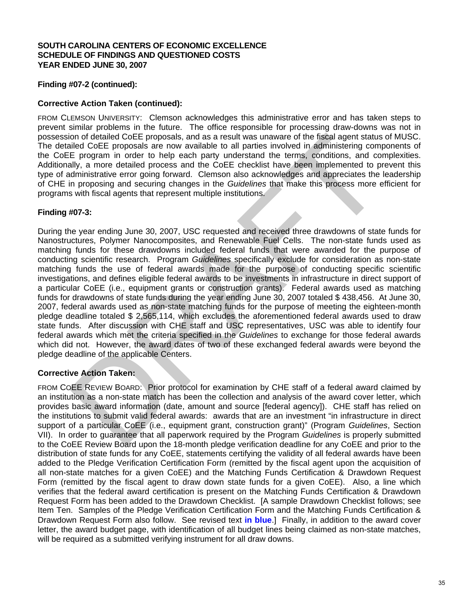#### **Finding #07-2 (continued):**

#### **Corrective Action Taken (continued):**

FROM CLEMSON UNIVERSITY: Clemson acknowledges this administrative error and has taken steps to prevent similar problems in the future. The office responsible for processing draw-downs was not in possession of detailed CoEE proposals, and as a result was unaware of the fiscal agent status of MUSC. The detailed CoEE proposals are now available to all parties involved in administering components of the CoEE program in order to help each party understand the terms, conditions, and complexities. Additionally, a more detailed process and the CoEE checklist have been implemented to prevent this type of administrative error going forward. Clemson also acknowledges and appreciates the leadership of CHE in proposing and securing changes in the *Guidelines* that make this process more efficient for programs with fiscal agents that represent multiple institutions.

#### **Finding #07-3:**

During the year ending June 30, 2007, USC requested and received three drawdowns of state funds for Nanostructures, Polymer Nanocomposites, and Renewable Fuel Cells. The non-state funds used as matching funds for these drawdowns included federal funds that were awarded for the purpose of conducting scientific research. Program *Guidelines* specifically exclude for consideration as non-state matching funds the use of federal awards made for the purpose of conducting specific scientific investigations, and defines eligible federal awards to be investments in infrastructure in direct support of a particular CoEE (i.e., equipment grants or construction grants). Federal awards used as matching funds for drawdowns of state funds during the year ending June 30, 2007 totaled \$ 438,456. At June 30, 2007, federal awards used as non-state matching funds for the purpose of meeting the eighteen-month pledge deadline totaled \$ 2,565,114, which excludes the aforementioned federal awards used to draw state funds. After discussion with CHE staff and USC representatives, USC was able to identify four federal awards which met the criteria specified in the *Guidelines* to exchange for those federal awards which did not. However, the award dates of two of these exchanged federal awards were beyond the pledge deadline of the applicable Centers. on of detailed CoEE proposals, and as a result was unaware of the fiscial agent status<br>and CoEE proposals are now available to all parties involved in administering complete program in order to help each party understand t

#### **Corrective Action Taken:**

FROM COEE REVIEW BOARD: Prior protocol for examination by CHE staff of a federal award claimed by an institution as a non-state match has been the collection and analysis of the award cover letter, which provides basic award information (date, amount and source [federal agency]). CHE staff has relied on the institutions to submit valid federal awards: awards that are an investment "in infrastructure in direct support of a particular CoEE (i.e., equipment grant, construction grant)" (Program *Guidelines*, Section VII). In order to guarantee that all paperwork required by the Program *Guidelines* is properly submitted to the CoEE Review Board upon the 18-month pledge verification deadline for any CoEE and prior to the distribution of state funds for any CoEE, statements certifying the validity of all federal awards have been added to the Pledge Verification Certification Form (remitted by the fiscal agent upon the acquisition of all non-state matches for a given CoEE) and the Matching Funds Certification & Drawdown Request Form (remitted by the fiscal agent to draw down state funds for a given CoEE). Also, a line which verifies that the federal award certification is present on the Matching Funds Certification & Drawdown Request Form has been added to the Drawdown Checklist. [A sample Drawdown Checklist follows; see Item Ten. Samples of the Pledge Verification Certification Form and the Matching Funds Certification & Drawdown Request Form also follow. See revised text **in blue**.] Finally, in addition to the award cover letter, the award budget page, with identification of all budget lines being claimed as non-state matches, will be required as a submitted verifying instrument for all draw downs.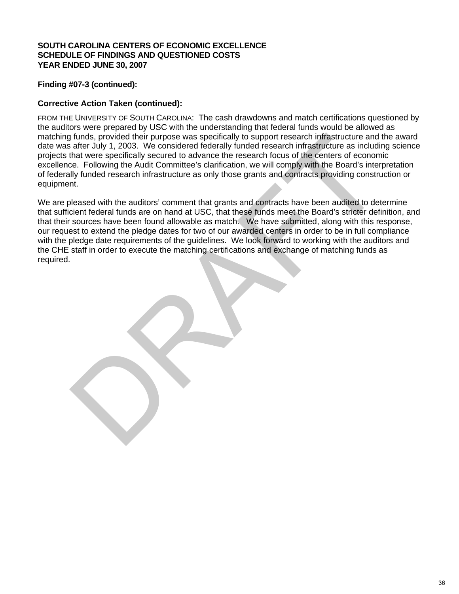**Finding #07-3 (continued):** 

#### **Corrective Action Taken (continued):**

FROM THE UNIVERSITY OF SOUTH CAROLINA: The cash drawdowns and match certifications questioned by the auditors were prepared by USC with the understanding that federal funds would be allowed as matching funds, provided their purpose was specifically to support research infrastructure and the award date was after July 1, 2003. We considered federally funded research infrastructure as including science projects that were specifically secured to advance the research focus of the centers of economic excellence. Following the Audit Committee's clarification, we will comply with the Board's interpretation of federally funded research infrastructure as only those grants and contracts providing construction or equipment.

We are pleased with the auditors' comment that grants and contracts have been audited to determine that sufficient federal funds are on hand at USC, that these funds meet the Board's stricter definition, and that their sources have been found allowable as match. We have submitted, along with this response, our request to extend the pledge dates for two of our awarded centers in order to be in full compliance with the pledge date requirements of the guidelines. We look forward to working with the auditors and the CHE staff in order to execute the matching certifications and exchange of matching funds as required. f funds, provided their purpose was specifically to support research infrastructure and industrial to the purpose was percifically secured to advance the research infrastructure as including that were specifically secured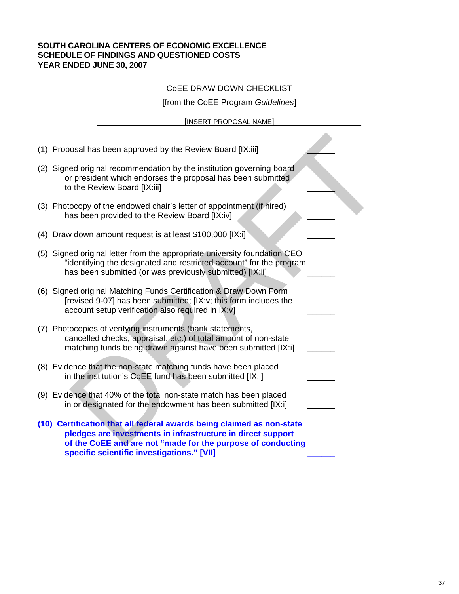#### CoEE DRAW DOWN CHECKLIST

#### [from the CoEE Program *Guidelines*]

#### $[\text{INSERT PROPOSAL NAME}]$

| (1) Proposal has been approved by the Review Board [IX:iii]                                                                                                                                                                                       |  |
|---------------------------------------------------------------------------------------------------------------------------------------------------------------------------------------------------------------------------------------------------|--|
| (2) Signed original recommendation by the institution governing board<br>or president which endorses the proposal has been submitted<br>to the Review Board [IX:iii]                                                                              |  |
| (3) Photocopy of the endowed chair's letter of appointment (if hired)<br>has been provided to the Review Board [IX:iv]                                                                                                                            |  |
| (4) Draw down amount request is at least \$100,000 [IX:i]                                                                                                                                                                                         |  |
| (5) Signed original letter from the appropriate university foundation CEO<br>"identifying the designated and restricted account" for the program<br>has been submitted (or was previously submitted) [IX:ii]                                      |  |
| (6) Signed original Matching Funds Certification & Draw Down Form<br>[revised 9-07] has been submitted; [IX:v; this form includes the<br>account setup verification also required in IX:v]                                                        |  |
| (7) Photocopies of verifying instruments (bank statements,<br>cancelled checks, appraisal, etc.) of total amount of non-state<br>matching funds being drawn against have been submitted [IX:i]                                                    |  |
| (8) Evidence that the non-state matching funds have been placed<br>in the institution's CoEE fund has been submitted [IX:i]                                                                                                                       |  |
| (9) Evidence that 40% of the total non-state match has been placed<br>in or designated for the endowment has been submitted [IX:i]                                                                                                                |  |
| (10) Certification that all federal awards being claimed as non-state<br>pledges are investments in infrastructure in direct support<br>of the CoEE and are not "made for the purpose of conducting<br>specific scientific investigations." [VII] |  |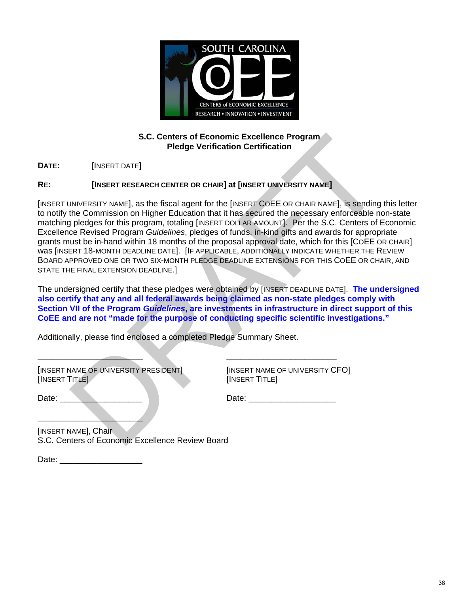

#### **S.C. Centers of Economic Excellence Program Pledge Verification Certification**

**DATE:** [INSERT DATE]

#### **RE: [INSERT RESEARCH CENTER OR CHAIR] at [INSERT UNIVERSITY NAME]**

[INSERT UNIVERSITY NAME], as the fiscal agent for the [INSERT COEE OR CHAIR NAME], is sending this letter to notify the Commission on Higher Education that it has secured the necessary enforceable non-state matching pledges for this program, totaling [INSERT DOLLAR AMOUNT]. Per the S.C. Centers of Economic Excellence Revised Program *Guidelines*, pledges of funds, in-kind gifts and awards for appropriate grants must be in-hand within 18 months of the proposal approval date, which for this [COEE OR CHAIR] was [INSERT 18-MONTH DEADLINE DATE]. [IF APPLICABLE, ADDITIONALLY INDICATE WHETHER THE REVIEW BOARD APPROVED ONE OR TWO SIX-MONTH PLEDGE DEADLINE EXTENSIONS FOR THIS COEE OR CHAIR, AND STATE THE FINAL EXTENSION DEADLINE.] S.C. Centers of Economic Excellence Program<br>
Pledge Verification Certification<br>
[INSERT DATE]<br>
INSERT RESEARCH CENTER OR CHAIR] at [INSERT UNIVERSITY NAME]<br>
INVERSITY NAME], as the fiscal agent for the [INSERT COEE OR CHAI

The undersigned certify that these pledges were obtained by [INSERT DEADLINE DATE]. **The undersigned also certify that any and all federal awards being claimed as non-state pledges comply with Section VII of the Program** *Guidelines***, are investments in infrastructure in direct support of this CoEE and are not "made for the purpose of conducting specific scientific investigations."** 

Additionally, please find enclosed a completed Pledge Summary Sheet.

 $\overline{\phantom{a}}$  ,  $\overline{\phantom{a}}$  ,  $\overline{\phantom{a}}$  ,  $\overline{\phantom{a}}$  ,  $\overline{\phantom{a}}$  ,  $\overline{\phantom{a}}$  ,  $\overline{\phantom{a}}$  ,  $\overline{\phantom{a}}$  ,  $\overline{\phantom{a}}$  ,  $\overline{\phantom{a}}$  ,  $\overline{\phantom{a}}$  ,  $\overline{\phantom{a}}$  ,  $\overline{\phantom{a}}$  ,  $\overline{\phantom{a}}$  ,  $\overline{\phantom{a}}$  ,  $\overline{\phantom{a}}$ 

[INSERT NAME OF UNIVERSITY PRESIDENT] [INSERT NAME OF UNIVERSITY CFO] [INSERT TITLE] [INSERT TITLE]

Date: \_\_\_\_\_\_\_\_\_\_\_\_\_\_\_\_\_\_ Date: \_\_\_\_\_\_\_\_\_\_\_\_\_\_\_\_\_\_\_

[INSERT NAME], Chair S.C. Centers of Economic Excellence Review Board

Date: \_\_\_\_\_\_\_\_\_\_\_\_\_\_\_\_\_\_

 $\frac{1}{2}$  ,  $\frac{1}{2}$  ,  $\frac{1}{2}$  ,  $\frac{1}{2}$  ,  $\frac{1}{2}$  ,  $\frac{1}{2}$  ,  $\frac{1}{2}$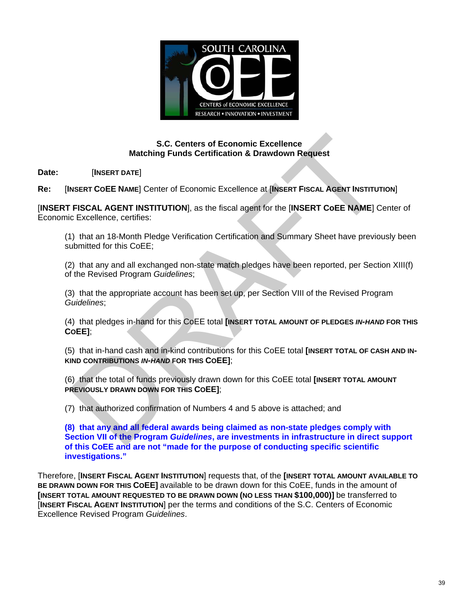

#### **S.C. Centers of Economic Excellence Matching Funds Certification & Drawdown Request**

**Date:** [**INSERT DATE**]

**Re:** [**INSERT COEE NAME**] Center of Economic Excellence at [**INSERT FISCAL AGENT INSTITUTION**]

[**INSERT FISCAL AGENT INSTITUTION**], as the fiscal agent for the [**INSERT CoEE NAME**] Center of Economic Excellence, certifies:

(1) that an 18-Month Pledge Verification Certification and Summary Sheet have previously been submitted for this CoEE;

(2) that any and all exchanged non-state match pledges have been reported, per Section XIII(f) of the Revised Program *Guidelines*;

(3) that the appropriate account has been set up, per Section VIII of the Revised Program *Guidelines*;

(4) that pledges in-hand for this CoEE total **[INSERT TOTAL AMOUNT OF PLEDGES** *IN-HAND* **FOR THIS COEE]**;

(5) that in-hand cash and in-kind contributions for this CoEE total **[INSERT TOTAL OF CASH AND IN-KIND CONTRIBUTIONS** *IN-HAND* **FOR THIS COEE]**;

(6) that the total of funds previously drawn down for this CoEE total **[INSERT TOTAL AMOUNT PREVIOUSLY DRAWN DOWN FOR THIS COEE]**;

(7) that authorized confirmation of Numbers 4 and 5 above is attached; and

**(8) that any and all federal awards being claimed as non-state pledges comply with Section VII of the Program** *Guidelines***, are investments in infrastructure in direct support of this CoEE and are not "made for the purpose of conducting specific scientific investigations."**  S.C. Centers of Economic Excellence<br>
Matching Funds Certification & Drawdown Request<br>
[INSERT DATE]<br>
INSERT COEE NAME] Center of Economic Excellence at [INSERT FISCAL AGENT INSTITUTE<br>
FISCAL AGENT INSTITUTION], as the fisc

Therefore, [**INSERT FISCAL AGENT INSTITUTION**] requests that, of the **[INSERT TOTAL AMOUNT AVAILABLE TO BE DRAWN DOWN FOR THIS COEE]** available to be drawn down for this CoEE, funds in the amount of **[INSERT TOTAL AMOUNT REQUESTED TO BE DRAWN DOWN (NO LESS THAN \$100,000)]** be transferred to [**INSERT FISCAL AGENT INSTITUTION**] per the terms and conditions of the S.C. Centers of Economic Excellence Revised Program *Guidelines*.